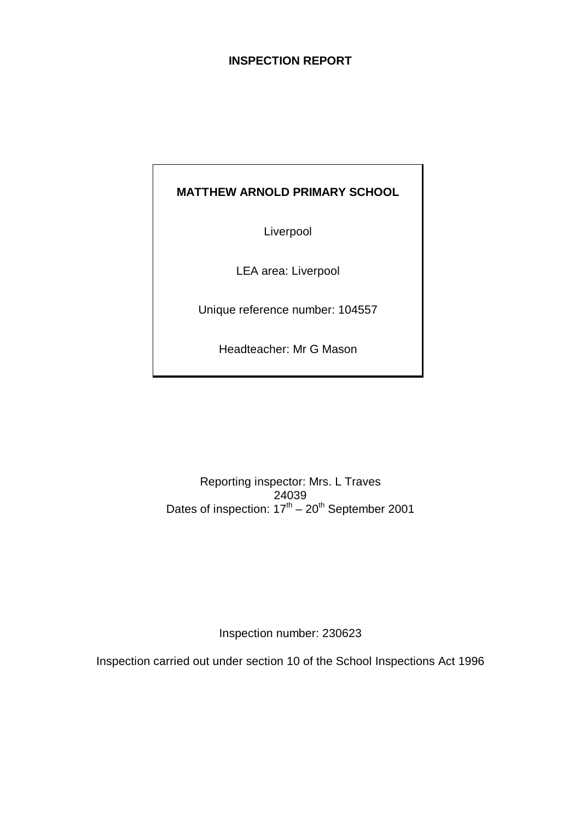# **INSPECTION REPORT**

# **MATTHEW ARNOLD PRIMARY SCHOOL**

Liverpool

LEA area: Liverpool

Unique reference number: 104557

Headteacher: Mr G Mason

Reporting inspector: Mrs. L Traves 24039 Dates of inspection:  $17<sup>th</sup> - 20<sup>th</sup>$  September 2001

Inspection number: 230623

Inspection carried out under section 10 of the School Inspections Act 1996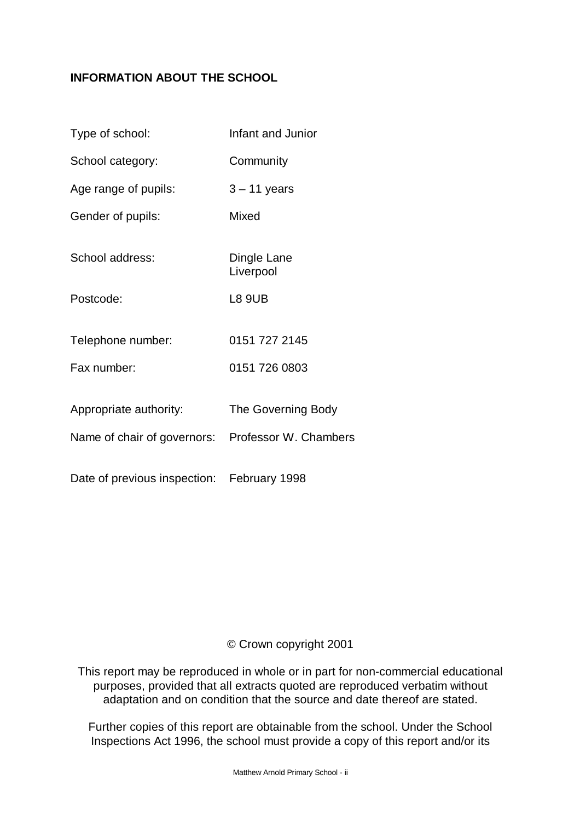# **INFORMATION ABOUT THE SCHOOL**

| Type of school:              | Infant and Junior        |
|------------------------------|--------------------------|
| School category:             | Community                |
| Age range of pupils:         | $3 - 11$ years           |
| Gender of pupils:            | Mixed                    |
| School address:              | Dingle Lane<br>Liverpool |
| Postcode:                    | <b>L8 9UB</b>            |
| Telephone number:            | 0151 727 2145            |
| Fax number:                  | 0151 726 0803            |
| Appropriate authority:       | The Governing Body       |
| Name of chair of governors:  | Professor W. Chambers    |
| Date of previous inspection: | February 1998            |

# © Crown copyright 2001

This report may be reproduced in whole or in part for non-commercial educational purposes, provided that all extracts quoted are reproduced verbatim without adaptation and on condition that the source and date thereof are stated.

Further copies of this report are obtainable from the school. Under the School Inspections Act 1996, the school must provide a copy of this report and/or its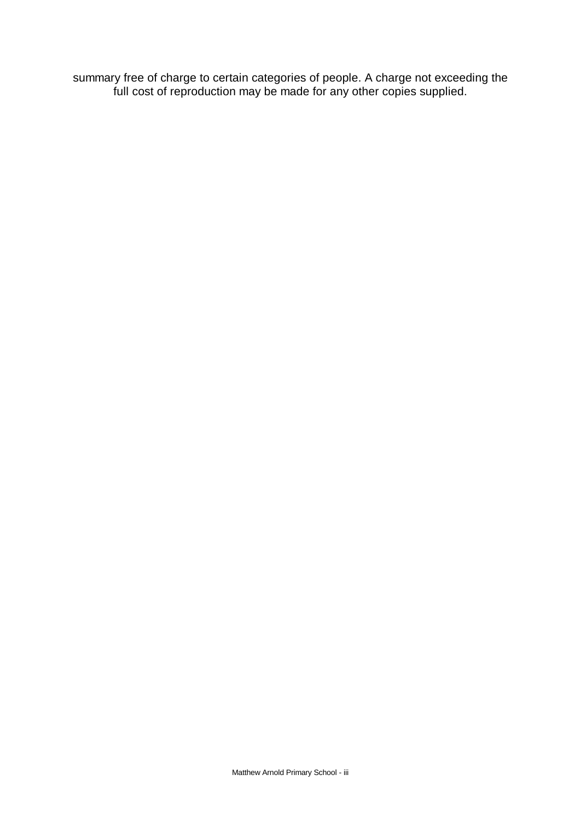summary free of charge to certain categories of people. A charge not exceeding the full cost of reproduction may be made for any other copies supplied.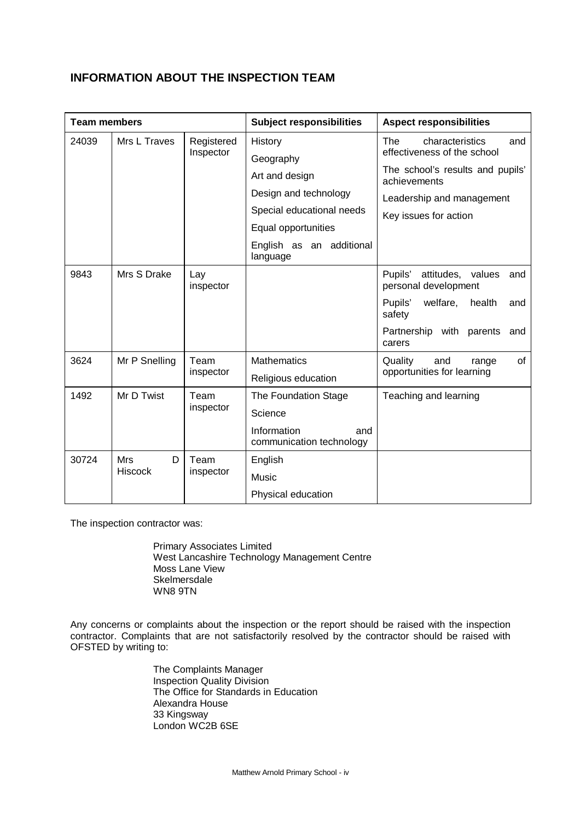# **INFORMATION ABOUT THE INSPECTION TEAM**

| <b>Team members</b> |                                 |                         | <b>Subject responsibilities</b>                | <b>Aspect responsibilities</b>                               |  |  |  |  |
|---------------------|---------------------------------|-------------------------|------------------------------------------------|--------------------------------------------------------------|--|--|--|--|
| 24039               | Mrs L Traves                    | Registered<br>Inspector | History                                        | The<br>characteristics<br>and<br>effectiveness of the school |  |  |  |  |
|                     |                                 |                         | Geography                                      |                                                              |  |  |  |  |
|                     |                                 |                         | Art and design                                 | The school's results and pupils'<br>achievements             |  |  |  |  |
|                     |                                 |                         | Design and technology                          | Leadership and management                                    |  |  |  |  |
|                     |                                 |                         | Special educational needs                      | Key issues for action                                        |  |  |  |  |
|                     |                                 |                         | Equal opportunities                            |                                                              |  |  |  |  |
|                     |                                 |                         | English as an additional<br>language           |                                                              |  |  |  |  |
| 9843                | Mrs S Drake<br>Lay<br>inspector |                         |                                                | Pupils'<br>attitudes, values<br>and<br>personal development  |  |  |  |  |
|                     |                                 |                         |                                                | Pupils'<br>welfare, health<br>and<br>safety                  |  |  |  |  |
|                     |                                 |                         |                                                | Partnership with parents<br>and<br>carers                    |  |  |  |  |
| 3624                | Mr P Snelling<br>Team           | <b>Mathematics</b>      | Quality<br>of<br>and<br>range                  |                                                              |  |  |  |  |
|                     |                                 | inspector               | Religious education                            | opportunities for learning                                   |  |  |  |  |
| Mr D Twist<br>1492  |                                 | Team                    | The Foundation Stage                           | Teaching and learning                                        |  |  |  |  |
|                     |                                 | inspector               | Science                                        |                                                              |  |  |  |  |
|                     |                                 |                         | Information<br>and<br>communication technology |                                                              |  |  |  |  |
| 30724               | <b>Mrs</b><br>D                 | Team                    | English                                        |                                                              |  |  |  |  |
|                     | <b>Hiscock</b>                  | inspector               | Music                                          |                                                              |  |  |  |  |
|                     |                                 |                         | Physical education                             |                                                              |  |  |  |  |

The inspection contractor was:

Primary Associates Limited West Lancashire Technology Management Centre Moss Lane View **Skelmersdale** WN8 9TN

Any concerns or complaints about the inspection or the report should be raised with the inspection contractor. Complaints that are not satisfactorily resolved by the contractor should be raised with OFSTED by writing to:

> The Complaints Manager Inspection Quality Division The Office for Standards in Education Alexandra House 33 Kingsway London WC2B 6SE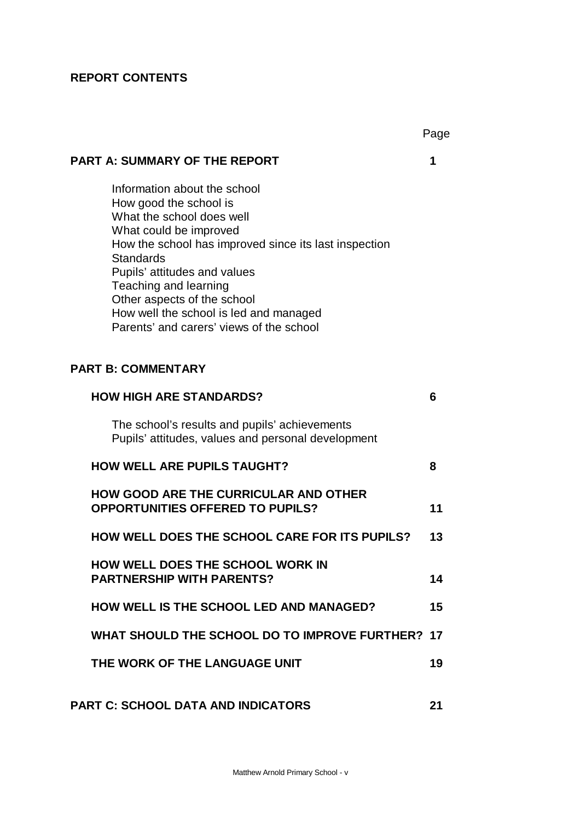# **REPORT CONTENTS**

|                                                                                                                                                                                                                                                                                                                                                                          | Page |
|--------------------------------------------------------------------------------------------------------------------------------------------------------------------------------------------------------------------------------------------------------------------------------------------------------------------------------------------------------------------------|------|
| <b>PART A: SUMMARY OF THE REPORT</b>                                                                                                                                                                                                                                                                                                                                     | 1    |
| Information about the school<br>How good the school is<br>What the school does well<br>What could be improved<br>How the school has improved since its last inspection<br><b>Standards</b><br>Pupils' attitudes and values<br>Teaching and learning<br>Other aspects of the school<br>How well the school is led and managed<br>Parents' and carers' views of the school |      |
| <b>PART B: COMMENTARY</b>                                                                                                                                                                                                                                                                                                                                                |      |
| <b>HOW HIGH ARE STANDARDS?</b>                                                                                                                                                                                                                                                                                                                                           | 6    |
| The school's results and pupils' achievements<br>Pupils' attitudes, values and personal development                                                                                                                                                                                                                                                                      |      |
| <b>HOW WELL ARE PUPILS TAUGHT?</b>                                                                                                                                                                                                                                                                                                                                       | 8    |
| <b>HOW GOOD ARE THE CURRICULAR AND OTHER</b><br><b>OPPORTUNITIES OFFERED TO PUPILS?</b>                                                                                                                                                                                                                                                                                  | 11   |
| <b>HOW WELL DOES THE SCHOOL CARE FOR ITS PUPILS?</b>                                                                                                                                                                                                                                                                                                                     | 13   |
| <b>HOW WELL DOES THE SCHOOL WORK IN</b><br><b>PARTNERSHIP WITH PARENTS?</b>                                                                                                                                                                                                                                                                                              | 14   |
| <b>HOW WELL IS THE SCHOOL LED AND MANAGED?</b>                                                                                                                                                                                                                                                                                                                           | 15   |
| WHAT SHOULD THE SCHOOL DO TO IMPROVE FURTHER? 17                                                                                                                                                                                                                                                                                                                         |      |
| THE WORK OF THE LANGUAGE UNIT                                                                                                                                                                                                                                                                                                                                            | 19   |
| <b>PART C: SCHOOL DATA AND INDICATORS</b>                                                                                                                                                                                                                                                                                                                                | 21   |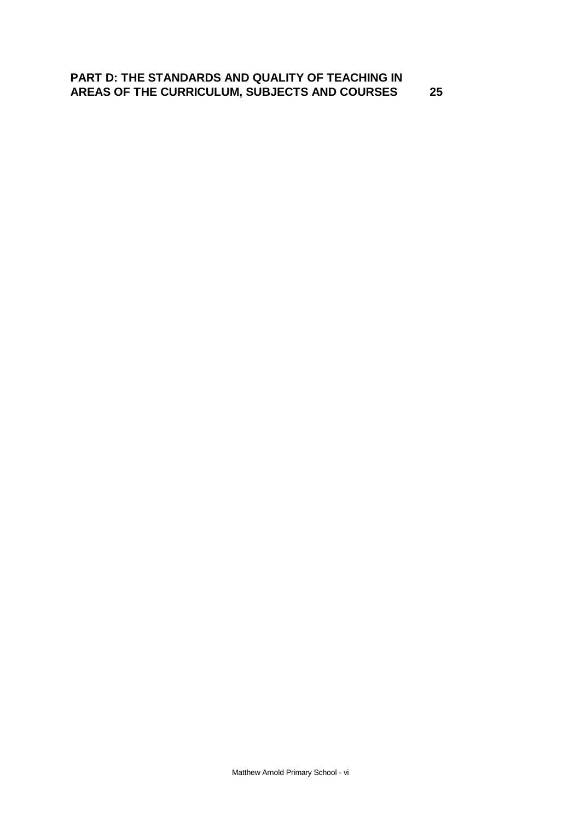# **PART D: THE STANDARDS AND QUALITY OF TEACHING IN AREAS OF THE CURRICULUM, SUBJECTS AND COURSES 25**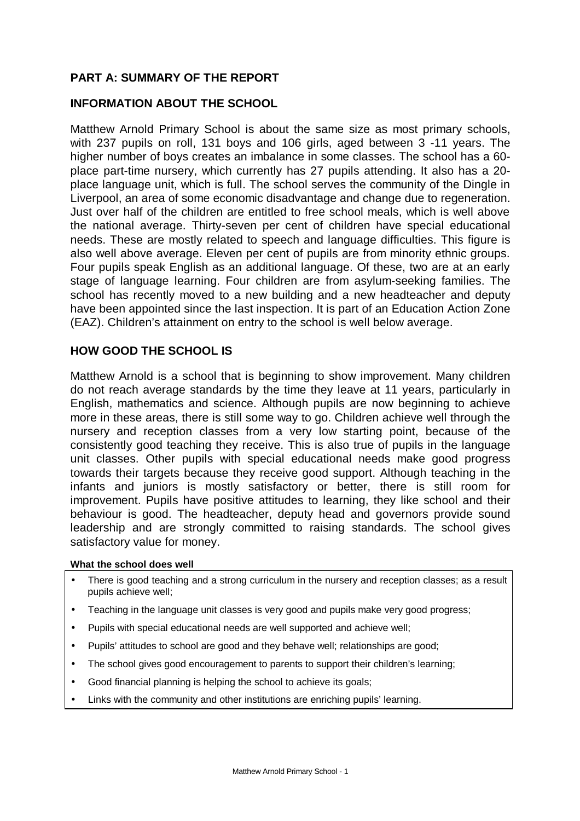# **PART A: SUMMARY OF THE REPORT**

# **INFORMATION ABOUT THE SCHOOL**

Matthew Arnold Primary School is about the same size as most primary schools, with 237 pupils on roll, 131 boys and 106 girls, aged between 3 -11 years. The higher number of boys creates an imbalance in some classes. The school has a 60 place part-time nursery, which currently has 27 pupils attending. It also has a 20 place language unit, which is full. The school serves the community of the Dingle in Liverpool, an area of some economic disadvantage and change due to regeneration. Just over half of the children are entitled to free school meals, which is well above the national average. Thirty-seven per cent of children have special educational needs. These are mostly related to speech and language difficulties. This figure is also well above average. Eleven per cent of pupils are from minority ethnic groups. Four pupils speak English as an additional language. Of these, two are at an early stage of language learning. Four children are from asylum-seeking families. The school has recently moved to a new building and a new headteacher and deputy have been appointed since the last inspection. It is part of an Education Action Zone (EAZ). Children's attainment on entry to the school is well below average.

# **HOW GOOD THE SCHOOL IS**

Matthew Arnold is a school that is beginning to show improvement. Many children do not reach average standards by the time they leave at 11 years, particularly in English, mathematics and science. Although pupils are now beginning to achieve more in these areas, there is still some way to go. Children achieve well through the nursery and reception classes from a very low starting point, because of the consistently good teaching they receive. This is also true of pupils in the language unit classes. Other pupils with special educational needs make good progress towards their targets because they receive good support. Although teaching in the infants and juniors is mostly satisfactory or better, there is still room for improvement. Pupils have positive attitudes to learning, they like school and their behaviour is good. The headteacher, deputy head and governors provide sound leadership and are strongly committed to raising standards. The school gives satisfactory value for money.

#### **What the school does well**

- There is good teaching and a strong curriculum in the nursery and reception classes; as a result pupils achieve well;
- Teaching in the language unit classes is very good and pupils make very good progress;
- Pupils with special educational needs are well supported and achieve well;
- Pupils' attitudes to school are good and they behave well; relationships are good;
- The school gives good encouragement to parents to support their children's learning;
- Good financial planning is helping the school to achieve its goals;
- Links with the community and other institutions are enriching pupils' learning.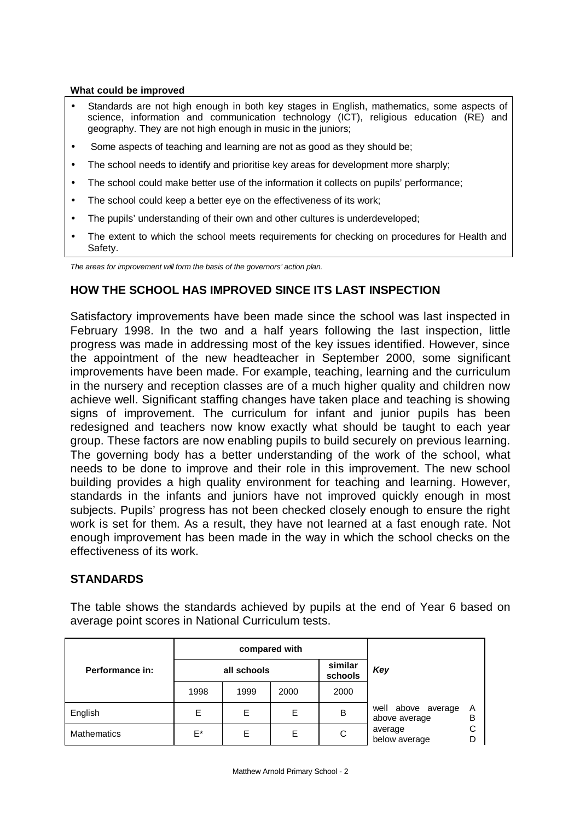#### **What could be improved**

- Standards are not high enough in both key stages in English, mathematics, some aspects of science, information and communication technology (ICT), religious education (RE) and geography. They are not high enough in music in the juniors;
- Some aspects of teaching and learning are not as good as they should be:
- The school needs to identify and prioritise key areas for development more sharply;
- The school could make better use of the information it collects on pupils' performance;
- The school could keep a better eye on the effectiveness of its work;
- The pupils' understanding of their own and other cultures is underdeveloped;
- The extent to which the school meets requirements for checking on procedures for Health and Safety.

*The areas for improvement will form the basis of the governors' action plan.*

# **HOW THE SCHOOL HAS IMPROVED SINCE ITS LAST INSPECTION**

Satisfactory improvements have been made since the school was last inspected in February 1998. In the two and a half years following the last inspection, little progress was made in addressing most of the key issues identified. However, since the appointment of the new headteacher in September 2000, some significant improvements have been made. For example, teaching, learning and the curriculum in the nursery and reception classes are of a much higher quality and children now achieve well. Significant staffing changes have taken place and teaching is showing signs of improvement. The curriculum for infant and junior pupils has been redesigned and teachers now know exactly what should be taught to each year group. These factors are now enabling pupils to build securely on previous learning. The governing body has a better understanding of the work of the school, what needs to be done to improve and their role in this improvement. The new school building provides a high quality environment for teaching and learning. However, standards in the infants and juniors have not improved quickly enough in most subjects. Pupils' progress has not been checked closely enough to ensure the right work is set for them. As a result, they have not learned at a fast enough rate. Not enough improvement has been made in the way in which the school checks on the effectiveness of its work.

# **STANDARDS**

The table shows the standards achieved by pupils at the end of Year 6 based on average point scores in National Curriculum tests.

|                 | compared with |      |      |                    |                                     |        |  |  |
|-----------------|---------------|------|------|--------------------|-------------------------------------|--------|--|--|
| Performance in: | all schools   |      |      | similar<br>schools | Key                                 |        |  |  |
|                 | 1998          | 1999 | 2000 | 2000               |                                     |        |  |  |
| English         | Е             | Е    | E    | B                  | well above average<br>above average | A<br>в |  |  |
| Mathematics     | E*            | E    | E    | С                  | average<br>below average            |        |  |  |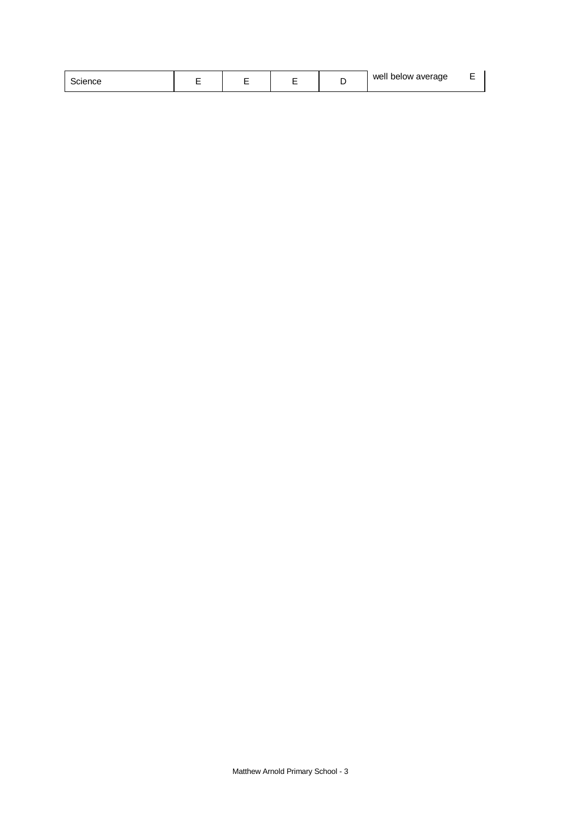| cience. |  |  |  |  | well below average |  |
|---------|--|--|--|--|--------------------|--|
|---------|--|--|--|--|--------------------|--|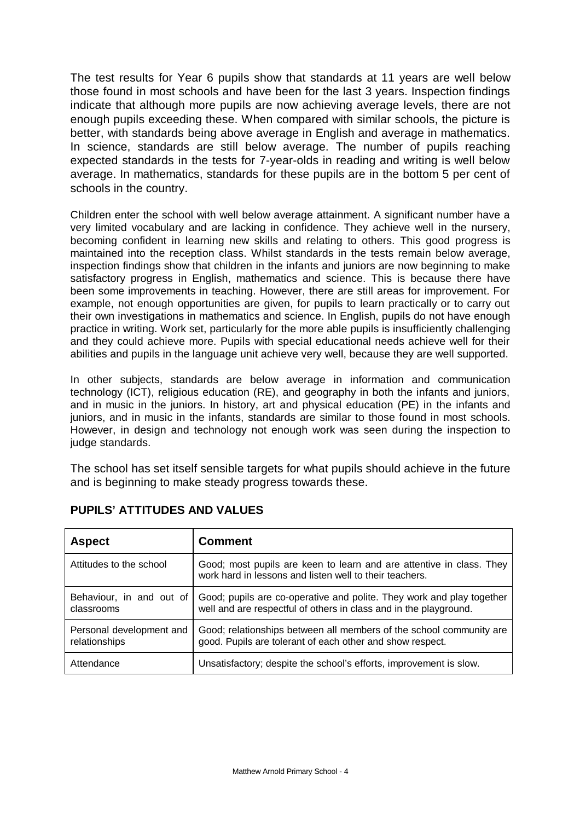The test results for Year 6 pupils show that standards at 11 years are well below those found in most schools and have been for the last 3 years. Inspection findings indicate that although more pupils are now achieving average levels, there are not enough pupils exceeding these. When compared with similar schools, the picture is better, with standards being above average in English and average in mathematics. In science, standards are still below average. The number of pupils reaching expected standards in the tests for 7-year-olds in reading and writing is well below average. In mathematics, standards for these pupils are in the bottom 5 per cent of schools in the country.

Children enter the school with well below average attainment. A significant number have a very limited vocabulary and are lacking in confidence. They achieve well in the nursery, becoming confident in learning new skills and relating to others. This good progress is maintained into the reception class. Whilst standards in the tests remain below average, inspection findings show that children in the infants and juniors are now beginning to make satisfactory progress in English, mathematics and science. This is because there have been some improvements in teaching. However, there are still areas for improvement. For example, not enough opportunities are given, for pupils to learn practically or to carry out their own investigations in mathematics and science. In English, pupils do not have enough practice in writing. Work set, particularly for the more able pupils is insufficiently challenging and they could achieve more. Pupils with special educational needs achieve well for their abilities and pupils in the language unit achieve very well, because they are well supported.

In other subjects, standards are below average in information and communication technology (ICT), religious education (RE), and geography in both the infants and juniors, and in music in the juniors. In history, art and physical education (PE) in the infants and juniors, and in music in the infants, standards are similar to those found in most schools. However, in design and technology not enough work was seen during the inspection to judge standards.

The school has set itself sensible targets for what pupils should achieve in the future and is beginning to make steady progress towards these.

| <b>Aspect</b>                             | <b>Comment</b>                                                                                                                             |
|-------------------------------------------|--------------------------------------------------------------------------------------------------------------------------------------------|
| Attitudes to the school                   | Good; most pupils are keen to learn and are attentive in class. They<br>work hard in lessons and listen well to their teachers.            |
| Behaviour, in and out of<br>classrooms    | Good; pupils are co-operative and polite. They work and play together<br>well and are respectful of others in class and in the playground. |
| Personal development and<br>relationships | Good; relationships between all members of the school community are<br>good. Pupils are tolerant of each other and show respect.           |
| Attendance                                | Unsatisfactory; despite the school's efforts, improvement is slow.                                                                         |

# **PUPILS' ATTITUDES AND VALUES**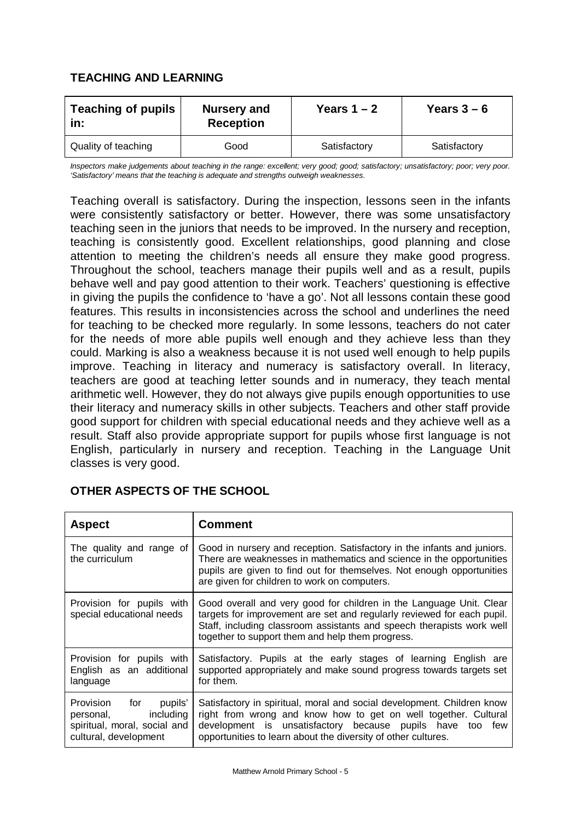# **TEACHING AND LEARNING**

| <b>Teaching of pupils</b><br>In: | <b>Nursery and</b><br><b>Reception</b> | Years $1 - 2$ | Years $3-6$  |  |  |
|----------------------------------|----------------------------------------|---------------|--------------|--|--|
| Quality of teaching              | Good                                   | Satisfactory  | Satisfactory |  |  |

*Inspectors make judgements about teaching in the range: excellent; very good; good; satisfactory; unsatisfactory; poor; very poor. 'Satisfactory' means that the teaching is adequate and strengths outweigh weaknesses.*

Teaching overall is satisfactory. During the inspection, lessons seen in the infants were consistently satisfactory or better. However, there was some unsatisfactory teaching seen in the juniors that needs to be improved. In the nursery and reception, teaching is consistently good. Excellent relationships, good planning and close attention to meeting the children's needs all ensure they make good progress. Throughout the school, teachers manage their pupils well and as a result, pupils behave well and pay good attention to their work. Teachers' questioning is effective in giving the pupils the confidence to 'have a go'. Not all lessons contain these good features. This results in inconsistencies across the school and underlines the need for teaching to be checked more regularly. In some lessons, teachers do not cater for the needs of more able pupils well enough and they achieve less than they could. Marking is also a weakness because it is not used well enough to help pupils improve. Teaching in literacy and numeracy is satisfactory overall. In literacy, teachers are good at teaching letter sounds and in numeracy, they teach mental arithmetic well. However, they do not always give pupils enough opportunities to use their literacy and numeracy skills in other subjects. Teachers and other staff provide good support for children with special educational needs and they achieve well as a result. Staff also provide appropriate support for pupils whose first language is not English, particularly in nursery and reception. Teaching in the Language Unit classes is very good.

| <b>Aspect</b>                                                                                               | <b>Comment</b>                                                                                                                                                                                                                                                             |
|-------------------------------------------------------------------------------------------------------------|----------------------------------------------------------------------------------------------------------------------------------------------------------------------------------------------------------------------------------------------------------------------------|
| The quality and range of<br>the curriculum                                                                  | Good in nursery and reception. Satisfactory in the infants and juniors.<br>There are weaknesses in mathematics and science in the opportunities<br>pupils are given to find out for themselves. Not enough opportunities<br>are given for children to work on computers.   |
| Provision for pupils with<br>special educational needs                                                      | Good overall and very good for children in the Language Unit. Clear<br>targets for improvement are set and regularly reviewed for each pupil.<br>Staff, including classroom assistants and speech therapists work well<br>together to support them and help them progress. |
| Provision for pupils with<br>English as an additional<br>language                                           | Satisfactory. Pupils at the early stages of learning English are<br>supported appropriately and make sound progress towards targets set<br>for them.                                                                                                                       |
| Provision for<br>pupils'<br>personal,<br>including<br>spiritual, moral, social and<br>cultural, development | Satisfactory in spiritual, moral and social development. Children know<br>right from wrong and know how to get on well together. Cultural<br>development is unsatisfactory because pupils have too<br>few<br>opportunities to learn about the diversity of other cultures. |

# **OTHER ASPECTS OF THE SCHOOL**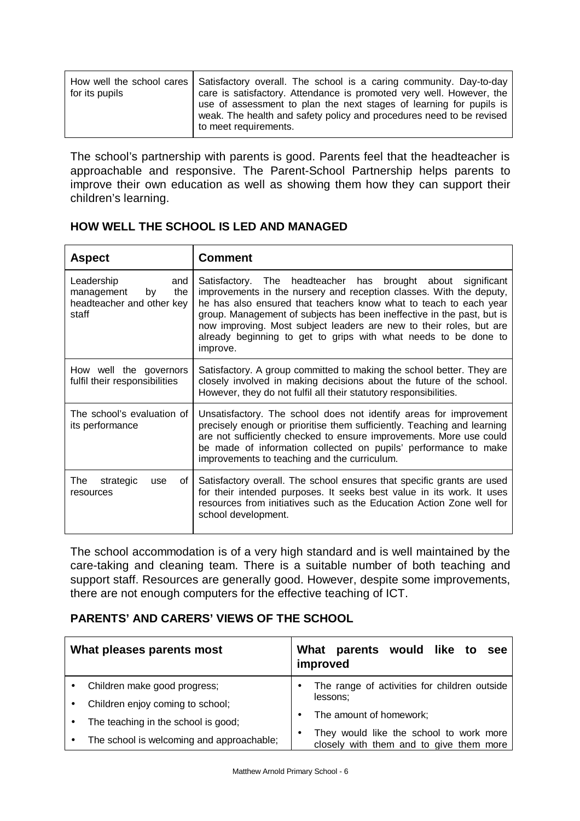The school's partnership with parents is good. Parents feel that the headteacher is approachable and responsive. The Parent-School Partnership helps parents to improve their own education as well as showing them how they can support their children's learning.

| <b>Aspect</b>                                                                      | <b>Comment</b>                                                                                                                                                                                                                                                                                                                                                                                                                             |  |  |
|------------------------------------------------------------------------------------|--------------------------------------------------------------------------------------------------------------------------------------------------------------------------------------------------------------------------------------------------------------------------------------------------------------------------------------------------------------------------------------------------------------------------------------------|--|--|
| Leadership<br>and<br>the<br>management<br>by<br>headteacher and other key<br>staff | Satisfactory. The headteacher has brought about<br>significant<br>improvements in the nursery and reception classes. With the deputy,<br>he has also ensured that teachers know what to teach to each year<br>group. Management of subjects has been ineffective in the past, but is<br>now improving. Most subject leaders are new to their roles, but are<br>already beginning to get to grips with what needs to be done to<br>improve. |  |  |
| How well the governors<br>fulfil their responsibilities                            | Satisfactory. A group committed to making the school better. They are<br>closely involved in making decisions about the future of the school.<br>However, they do not fulfil all their statutory responsibilities.                                                                                                                                                                                                                         |  |  |
| The school's evaluation of<br>its performance                                      | Unsatisfactory. The school does not identify areas for improvement<br>precisely enough or prioritise them sufficiently. Teaching and learning<br>are not sufficiently checked to ensure improvements. More use could<br>be made of information collected on pupils' performance to make<br>improvements to teaching and the curriculum.                                                                                                    |  |  |
| The<br>strategic<br>of<br>use<br>resources                                         | Satisfactory overall. The school ensures that specific grants are used<br>for their intended purposes. It seeks best value in its work. It uses<br>resources from initiatives such as the Education Action Zone well for<br>school development.                                                                                                                                                                                            |  |  |

# **HOW WELL THE SCHOOL IS LED AND MANAGED**

The school accommodation is of a very high standard and is well maintained by the care-taking and cleaning team. There is a suitable number of both teaching and support staff. Resources are generally good. However, despite some improvements, there are not enough computers for the effective teaching of ICT.

# **PARENTS' AND CARERS' VIEWS OF THE SCHOOL**

| What pleases parents most                                        | improved |  | What parents would like to                                                         |  | see |
|------------------------------------------------------------------|----------|--|------------------------------------------------------------------------------------|--|-----|
| Children make good progress;<br>Children enjoy coming to school; | lessons: |  | The range of activities for children outside                                       |  |     |
| The teaching in the school is good;                              |          |  | The amount of homework;                                                            |  |     |
| The school is welcoming and approachable;                        |          |  | They would like the school to work more<br>closely with them and to give them more |  |     |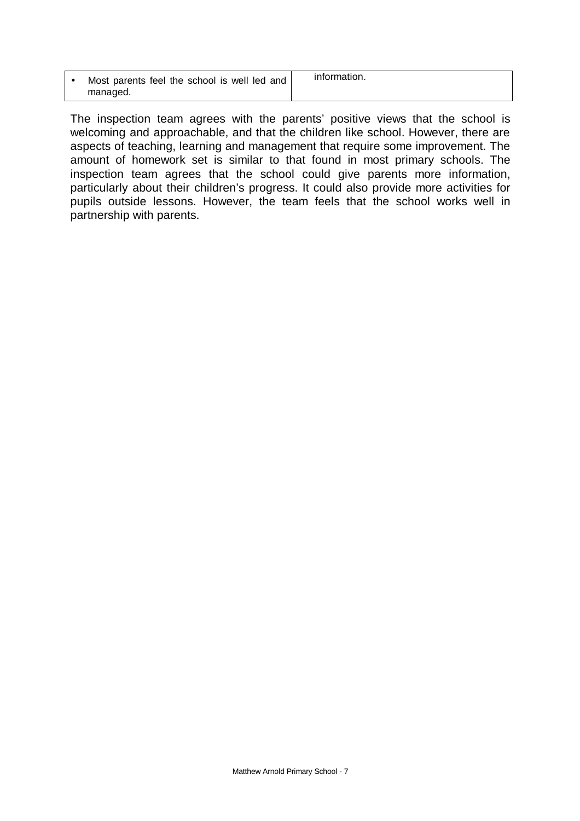| Most parents feel the school is well led and | information. |
|----------------------------------------------|--------------|
| managed.                                     |              |

The inspection team agrees with the parents' positive views that the school is welcoming and approachable, and that the children like school. However, there are aspects of teaching, learning and management that require some improvement. The amount of homework set is similar to that found in most primary schools. The inspection team agrees that the school could give parents more information, particularly about their children's progress. It could also provide more activities for pupils outside lessons. However, the team feels that the school works well in partnership with parents.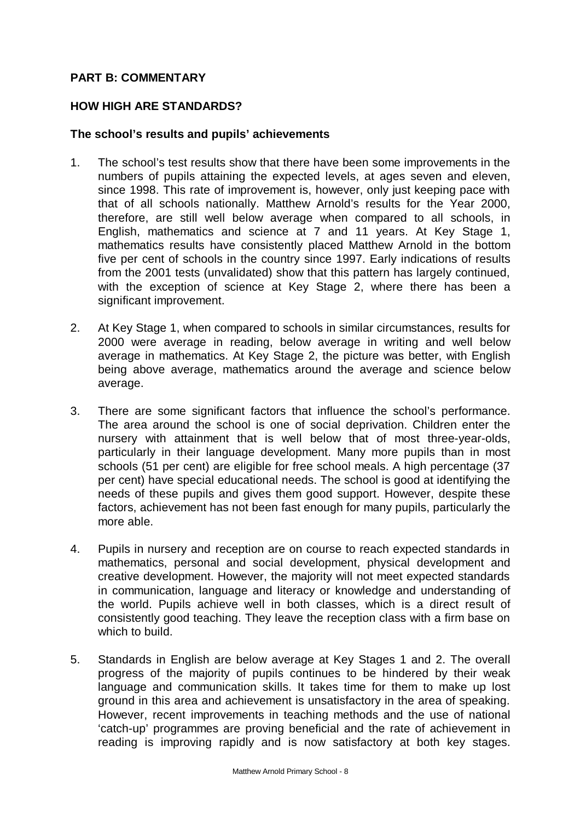# **PART B: COMMENTARY**

# **HOW HIGH ARE STANDARDS?**

#### **The school's results and pupils' achievements**

- 1. The school's test results show that there have been some improvements in the numbers of pupils attaining the expected levels, at ages seven and eleven, since 1998. This rate of improvement is, however, only just keeping pace with that of all schools nationally. Matthew Arnold's results for the Year 2000, therefore, are still well below average when compared to all schools, in English, mathematics and science at 7 and 11 years. At Key Stage 1, mathematics results have consistently placed Matthew Arnold in the bottom five per cent of schools in the country since 1997. Early indications of results from the 2001 tests (unvalidated) show that this pattern has largely continued, with the exception of science at Key Stage 2, where there has been a significant improvement.
- 2. At Key Stage 1, when compared to schools in similar circumstances, results for 2000 were average in reading, below average in writing and well below average in mathematics. At Key Stage 2, the picture was better, with English being above average, mathematics around the average and science below average.
- 3. There are some significant factors that influence the school's performance. The area around the school is one of social deprivation. Children enter the nursery with attainment that is well below that of most three-year-olds, particularly in their language development. Many more pupils than in most schools (51 per cent) are eligible for free school meals. A high percentage (37 per cent) have special educational needs. The school is good at identifying the needs of these pupils and gives them good support. However, despite these factors, achievement has not been fast enough for many pupils, particularly the more able.
- 4. Pupils in nursery and reception are on course to reach expected standards in mathematics, personal and social development, physical development and creative development. However, the majority will not meet expected standards in communication, language and literacy or knowledge and understanding of the world. Pupils achieve well in both classes, which is a direct result of consistently good teaching. They leave the reception class with a firm base on which to build.
- 5. Standards in English are below average at Key Stages 1 and 2. The overall progress of the majority of pupils continues to be hindered by their weak language and communication skills. It takes time for them to make up lost ground in this area and achievement is unsatisfactory in the area of speaking. However, recent improvements in teaching methods and the use of national 'catch-up' programmes are proving beneficial and the rate of achievement in reading is improving rapidly and is now satisfactory at both key stages.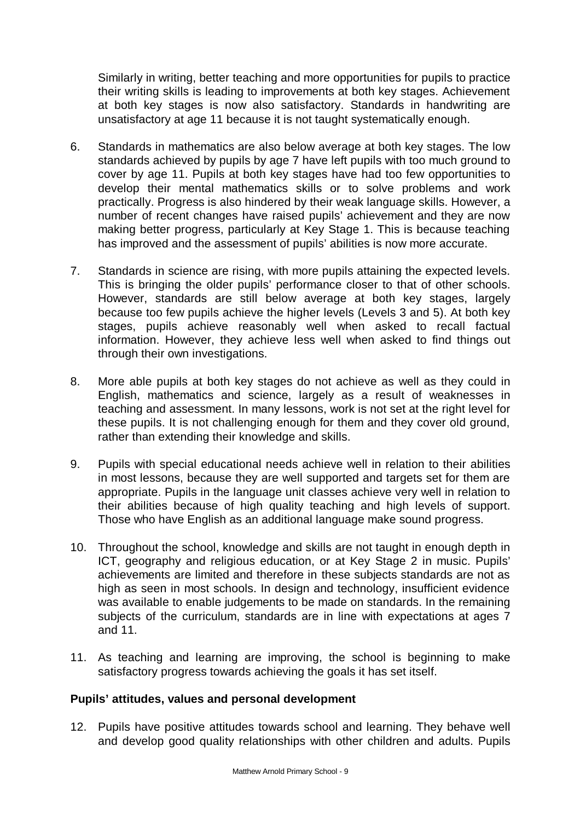Similarly in writing, better teaching and more opportunities for pupils to practice their writing skills is leading to improvements at both key stages. Achievement at both key stages is now also satisfactory. Standards in handwriting are unsatisfactory at age 11 because it is not taught systematically enough.

- 6. Standards in mathematics are also below average at both key stages. The low standards achieved by pupils by age 7 have left pupils with too much ground to cover by age 11. Pupils at both key stages have had too few opportunities to develop their mental mathematics skills or to solve problems and work practically. Progress is also hindered by their weak language skills. However, a number of recent changes have raised pupils' achievement and they are now making better progress, particularly at Key Stage 1. This is because teaching has improved and the assessment of pupils' abilities is now more accurate.
- 7. Standards in science are rising, with more pupils attaining the expected levels. This is bringing the older pupils' performance closer to that of other schools. However, standards are still below average at both key stages, largely because too few pupils achieve the higher levels (Levels 3 and 5). At both key stages, pupils achieve reasonably well when asked to recall factual information. However, they achieve less well when asked to find things out through their own investigations.
- 8. More able pupils at both key stages do not achieve as well as they could in English, mathematics and science, largely as a result of weaknesses in teaching and assessment. In many lessons, work is not set at the right level for these pupils. It is not challenging enough for them and they cover old ground, rather than extending their knowledge and skills.
- 9. Pupils with special educational needs achieve well in relation to their abilities in most lessons, because they are well supported and targets set for them are appropriate. Pupils in the language unit classes achieve very well in relation to their abilities because of high quality teaching and high levels of support. Those who have English as an additional language make sound progress.
- 10. Throughout the school, knowledge and skills are not taught in enough depth in ICT, geography and religious education, or at Key Stage 2 in music. Pupils' achievements are limited and therefore in these subjects standards are not as high as seen in most schools. In design and technology, insufficient evidence was available to enable judgements to be made on standards. In the remaining subjects of the curriculum, standards are in line with expectations at ages 7 and 11.
- 11. As teaching and learning are improving, the school is beginning to make satisfactory progress towards achieving the goals it has set itself.

# **Pupils' attitudes, values and personal development**

12. Pupils have positive attitudes towards school and learning. They behave well and develop good quality relationships with other children and adults. Pupils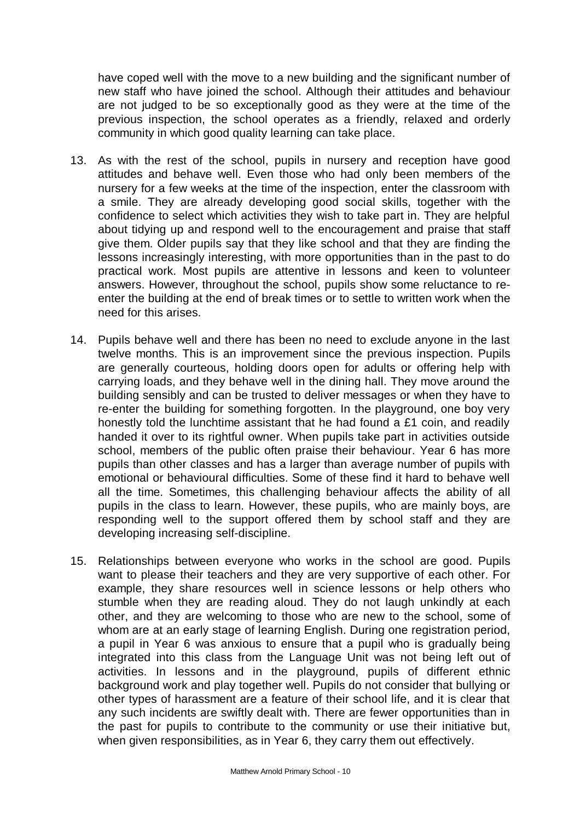have coped well with the move to a new building and the significant number of new staff who have joined the school. Although their attitudes and behaviour are not judged to be so exceptionally good as they were at the time of the previous inspection, the school operates as a friendly, relaxed and orderly community in which good quality learning can take place.

- 13. As with the rest of the school, pupils in nursery and reception have good attitudes and behave well. Even those who had only been members of the nursery for a few weeks at the time of the inspection, enter the classroom with a smile. They are already developing good social skills, together with the confidence to select which activities they wish to take part in. They are helpful about tidying up and respond well to the encouragement and praise that staff give them. Older pupils say that they like school and that they are finding the lessons increasingly interesting, with more opportunities than in the past to do practical work. Most pupils are attentive in lessons and keen to volunteer answers. However, throughout the school, pupils show some reluctance to reenter the building at the end of break times or to settle to written work when the need for this arises.
- 14. Pupils behave well and there has been no need to exclude anyone in the last twelve months. This is an improvement since the previous inspection. Pupils are generally courteous, holding doors open for adults or offering help with carrying loads, and they behave well in the dining hall. They move around the building sensibly and can be trusted to deliver messages or when they have to re-enter the building for something forgotten. In the playground, one boy very honestly told the lunchtime assistant that he had found a £1 coin, and readily handed it over to its rightful owner. When pupils take part in activities outside school, members of the public often praise their behaviour. Year 6 has more pupils than other classes and has a larger than average number of pupils with emotional or behavioural difficulties. Some of these find it hard to behave well all the time. Sometimes, this challenging behaviour affects the ability of all pupils in the class to learn. However, these pupils, who are mainly boys, are responding well to the support offered them by school staff and they are developing increasing self-discipline.
- 15. Relationships between everyone who works in the school are good. Pupils want to please their teachers and they are very supportive of each other. For example, they share resources well in science lessons or help others who stumble when they are reading aloud. They do not laugh unkindly at each other, and they are welcoming to those who are new to the school, some of whom are at an early stage of learning English. During one registration period, a pupil in Year 6 was anxious to ensure that a pupil who is gradually being integrated into this class from the Language Unit was not being left out of activities. In lessons and in the playground, pupils of different ethnic background work and play together well. Pupils do not consider that bullying or other types of harassment are a feature of their school life, and it is clear that any such incidents are swiftly dealt with. There are fewer opportunities than in the past for pupils to contribute to the community or use their initiative but, when given responsibilities, as in Year 6, they carry them out effectively.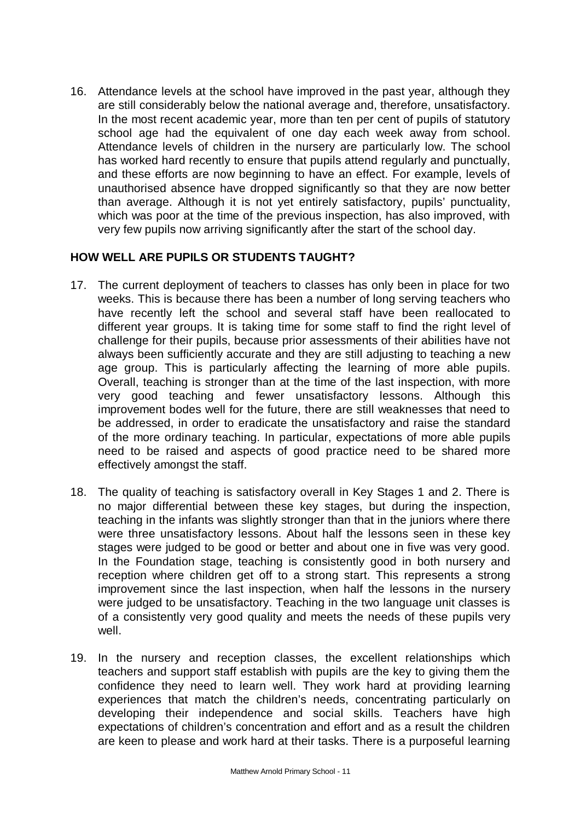16. Attendance levels at the school have improved in the past year, although they are still considerably below the national average and, therefore, unsatisfactory. In the most recent academic year, more than ten per cent of pupils of statutory school age had the equivalent of one day each week away from school. Attendance levels of children in the nursery are particularly low. The school has worked hard recently to ensure that pupils attend regularly and punctually, and these efforts are now beginning to have an effect. For example, levels of unauthorised absence have dropped significantly so that they are now better than average. Although it is not yet entirely satisfactory, pupils' punctuality, which was poor at the time of the previous inspection, has also improved, with very few pupils now arriving significantly after the start of the school day.

# **HOW WELL ARE PUPILS OR STUDENTS TAUGHT?**

- 17. The current deployment of teachers to classes has only been in place for two weeks. This is because there has been a number of long serving teachers who have recently left the school and several staff have been reallocated to different year groups. It is taking time for some staff to find the right level of challenge for their pupils, because prior assessments of their abilities have not always been sufficiently accurate and they are still adjusting to teaching a new age group. This is particularly affecting the learning of more able pupils. Overall, teaching is stronger than at the time of the last inspection, with more very good teaching and fewer unsatisfactory lessons. Although this improvement bodes well for the future, there are still weaknesses that need to be addressed, in order to eradicate the unsatisfactory and raise the standard of the more ordinary teaching. In particular, expectations of more able pupils need to be raised and aspects of good practice need to be shared more effectively amongst the staff.
- 18. The quality of teaching is satisfactory overall in Key Stages 1 and 2. There is no major differential between these key stages, but during the inspection, teaching in the infants was slightly stronger than that in the juniors where there were three unsatisfactory lessons. About half the lessons seen in these key stages were judged to be good or better and about one in five was very good. In the Foundation stage, teaching is consistently good in both nursery and reception where children get off to a strong start. This represents a strong improvement since the last inspection, when half the lessons in the nursery were judged to be unsatisfactory. Teaching in the two language unit classes is of a consistently very good quality and meets the needs of these pupils very well.
- 19. In the nursery and reception classes, the excellent relationships which teachers and support staff establish with pupils are the key to giving them the confidence they need to learn well. They work hard at providing learning experiences that match the children's needs, concentrating particularly on developing their independence and social skills. Teachers have high expectations of children's concentration and effort and as a result the children are keen to please and work hard at their tasks. There is a purposeful learning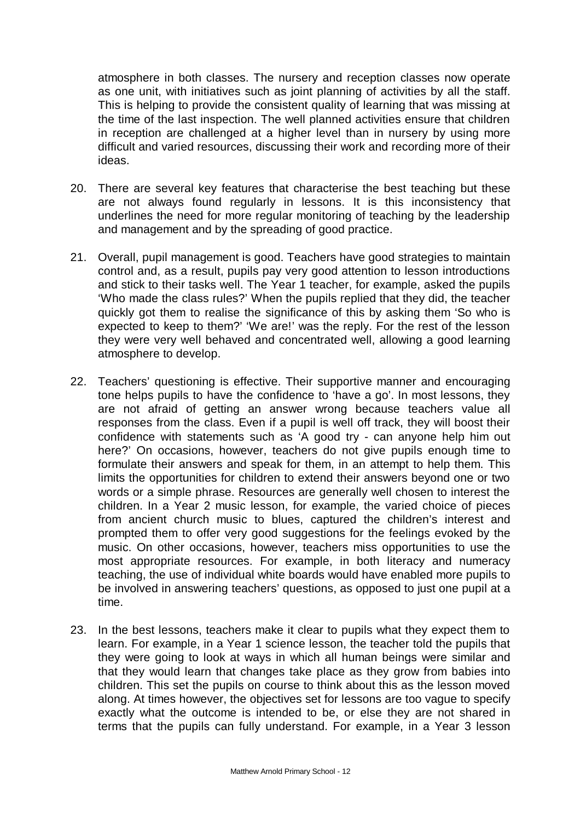atmosphere in both classes. The nursery and reception classes now operate as one unit, with initiatives such as joint planning of activities by all the staff. This is helping to provide the consistent quality of learning that was missing at the time of the last inspection. The well planned activities ensure that children in reception are challenged at a higher level than in nursery by using more difficult and varied resources, discussing their work and recording more of their ideas.

- 20. There are several key features that characterise the best teaching but these are not always found regularly in lessons. It is this inconsistency that underlines the need for more regular monitoring of teaching by the leadership and management and by the spreading of good practice.
- 21. Overall, pupil management is good. Teachers have good strategies to maintain control and, as a result, pupils pay very good attention to lesson introductions and stick to their tasks well. The Year 1 teacher, for example, asked the pupils 'Who made the class rules?' When the pupils replied that they did, the teacher quickly got them to realise the significance of this by asking them 'So who is expected to keep to them?' 'We are!' was the reply. For the rest of the lesson they were very well behaved and concentrated well, allowing a good learning atmosphere to develop.
- 22. Teachers' questioning is effective. Their supportive manner and encouraging tone helps pupils to have the confidence to 'have a go'. In most lessons, they are not afraid of getting an answer wrong because teachers value all responses from the class. Even if a pupil is well off track, they will boost their confidence with statements such as 'A good try - can anyone help him out here?' On occasions, however, teachers do not give pupils enough time to formulate their answers and speak for them, in an attempt to help them. This limits the opportunities for children to extend their answers beyond one or two words or a simple phrase. Resources are generally well chosen to interest the children. In a Year 2 music lesson, for example, the varied choice of pieces from ancient church music to blues, captured the children's interest and prompted them to offer very good suggestions for the feelings evoked by the music. On other occasions, however, teachers miss opportunities to use the most appropriate resources. For example, in both literacy and numeracy teaching, the use of individual white boards would have enabled more pupils to be involved in answering teachers' questions, as opposed to just one pupil at a time.
- 23. In the best lessons, teachers make it clear to pupils what they expect them to learn. For example, in a Year 1 science lesson, the teacher told the pupils that they were going to look at ways in which all human beings were similar and that they would learn that changes take place as they grow from babies into children. This set the pupils on course to think about this as the lesson moved along. At times however, the objectives set for lessons are too vague to specify exactly what the outcome is intended to be, or else they are not shared in terms that the pupils can fully understand. For example, in a Year 3 lesson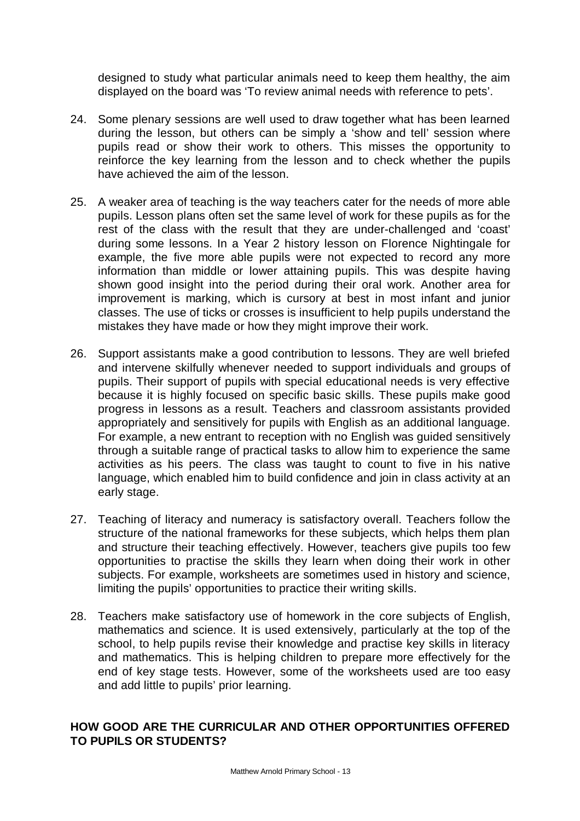designed to study what particular animals need to keep them healthy, the aim displayed on the board was 'To review animal needs with reference to pets'.

- 24. Some plenary sessions are well used to draw together what has been learned during the lesson, but others can be simply a 'show and tell' session where pupils read or show their work to others. This misses the opportunity to reinforce the key learning from the lesson and to check whether the pupils have achieved the aim of the lesson.
- 25. A weaker area of teaching is the way teachers cater for the needs of more able pupils. Lesson plans often set the same level of work for these pupils as for the rest of the class with the result that they are under-challenged and 'coast' during some lessons. In a Year 2 history lesson on Florence Nightingale for example, the five more able pupils were not expected to record any more information than middle or lower attaining pupils. This was despite having shown good insight into the period during their oral work. Another area for improvement is marking, which is cursory at best in most infant and junior classes. The use of ticks or crosses is insufficient to help pupils understand the mistakes they have made or how they might improve their work.
- 26. Support assistants make a good contribution to lessons. They are well briefed and intervene skilfully whenever needed to support individuals and groups of pupils. Their support of pupils with special educational needs is very effective because it is highly focused on specific basic skills. These pupils make good progress in lessons as a result. Teachers and classroom assistants provided appropriately and sensitively for pupils with English as an additional language. For example, a new entrant to reception with no English was guided sensitively through a suitable range of practical tasks to allow him to experience the same activities as his peers. The class was taught to count to five in his native language, which enabled him to build confidence and join in class activity at an early stage.
- 27. Teaching of literacy and numeracy is satisfactory overall. Teachers follow the structure of the national frameworks for these subjects, which helps them plan and structure their teaching effectively. However, teachers give pupils too few opportunities to practise the skills they learn when doing their work in other subjects. For example, worksheets are sometimes used in history and science, limiting the pupils' opportunities to practice their writing skills.
- 28. Teachers make satisfactory use of homework in the core subjects of English, mathematics and science. It is used extensively, particularly at the top of the school, to help pupils revise their knowledge and practise key skills in literacy and mathematics. This is helping children to prepare more effectively for the end of key stage tests. However, some of the worksheets used are too easy and add little to pupils' prior learning.

# **HOW GOOD ARE THE CURRICULAR AND OTHER OPPORTUNITIES OFFERED TO PUPILS OR STUDENTS?**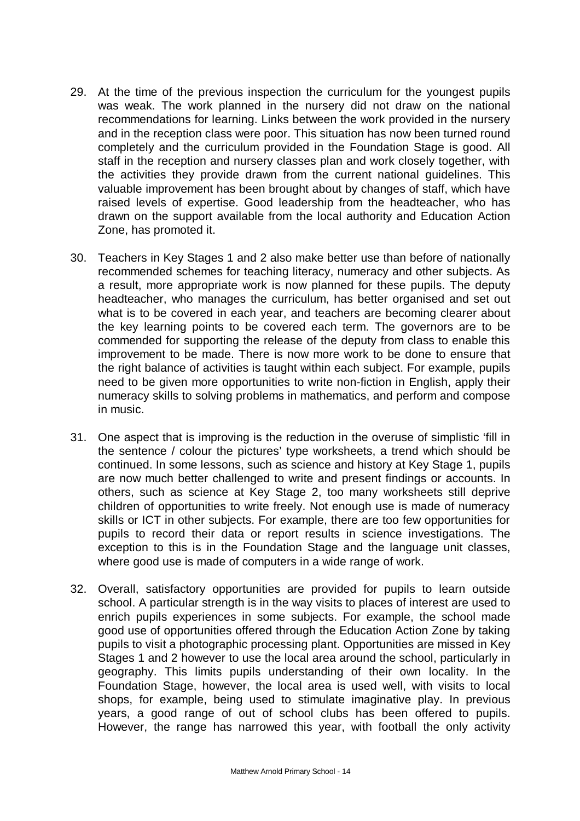- 29. At the time of the previous inspection the curriculum for the youngest pupils was weak. The work planned in the nursery did not draw on the national recommendations for learning. Links between the work provided in the nursery and in the reception class were poor. This situation has now been turned round completely and the curriculum provided in the Foundation Stage is good. All staff in the reception and nursery classes plan and work closely together, with the activities they provide drawn from the current national guidelines. This valuable improvement has been brought about by changes of staff, which have raised levels of expertise. Good leadership from the headteacher, who has drawn on the support available from the local authority and Education Action Zone, has promoted it.
- 30. Teachers in Key Stages 1 and 2 also make better use than before of nationally recommended schemes for teaching literacy, numeracy and other subjects. As a result, more appropriate work is now planned for these pupils. The deputy headteacher, who manages the curriculum, has better organised and set out what is to be covered in each year, and teachers are becoming clearer about the key learning points to be covered each term. The governors are to be commended for supporting the release of the deputy from class to enable this improvement to be made. There is now more work to be done to ensure that the right balance of activities is taught within each subject. For example, pupils need to be given more opportunities to write non-fiction in English, apply their numeracy skills to solving problems in mathematics, and perform and compose in music.
- 31. One aspect that is improving is the reduction in the overuse of simplistic 'fill in the sentence / colour the pictures' type worksheets, a trend which should be continued. In some lessons, such as science and history at Key Stage 1, pupils are now much better challenged to write and present findings or accounts. In others, such as science at Key Stage 2, too many worksheets still deprive children of opportunities to write freely. Not enough use is made of numeracy skills or ICT in other subjects. For example, there are too few opportunities for pupils to record their data or report results in science investigations. The exception to this is in the Foundation Stage and the language unit classes, where good use is made of computers in a wide range of work.
- 32. Overall, satisfactory opportunities are provided for pupils to learn outside school. A particular strength is in the way visits to places of interest are used to enrich pupils experiences in some subjects. For example, the school made good use of opportunities offered through the Education Action Zone by taking pupils to visit a photographic processing plant. Opportunities are missed in Key Stages 1 and 2 however to use the local area around the school, particularly in geography. This limits pupils understanding of their own locality. In the Foundation Stage, however, the local area is used well, with visits to local shops, for example, being used to stimulate imaginative play. In previous years, a good range of out of school clubs has been offered to pupils. However, the range has narrowed this year, with football the only activity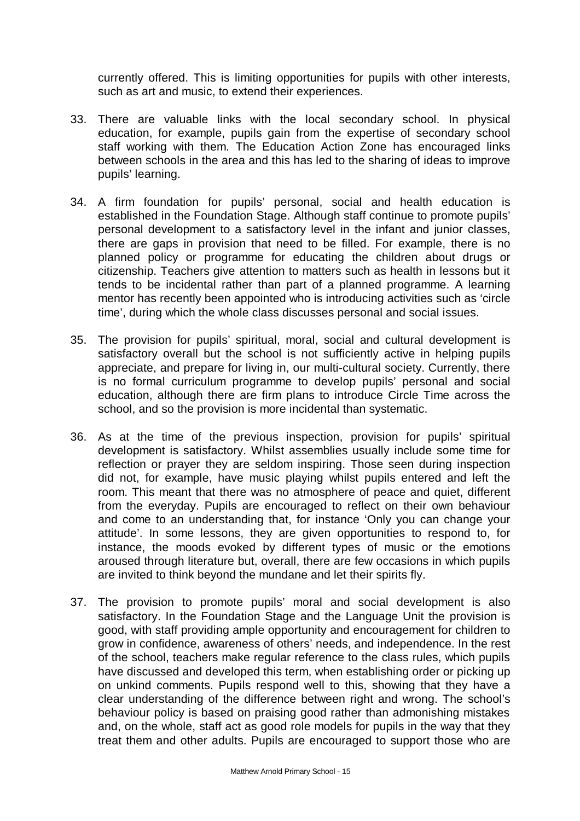currently offered. This is limiting opportunities for pupils with other interests, such as art and music, to extend their experiences.

- 33. There are valuable links with the local secondary school. In physical education, for example, pupils gain from the expertise of secondary school staff working with them. The Education Action Zone has encouraged links between schools in the area and this has led to the sharing of ideas to improve pupils' learning.
- 34. A firm foundation for pupils' personal, social and health education is established in the Foundation Stage. Although staff continue to promote pupils' personal development to a satisfactory level in the infant and junior classes, there are gaps in provision that need to be filled. For example, there is no planned policy or programme for educating the children about drugs or citizenship. Teachers give attention to matters such as health in lessons but it tends to be incidental rather than part of a planned programme. A learning mentor has recently been appointed who is introducing activities such as 'circle time', during which the whole class discusses personal and social issues.
- 35. The provision for pupils' spiritual, moral, social and cultural development is satisfactory overall but the school is not sufficiently active in helping pupils appreciate, and prepare for living in, our multi-cultural society. Currently, there is no formal curriculum programme to develop pupils' personal and social education, although there are firm plans to introduce Circle Time across the school, and so the provision is more incidental than systematic.
- 36. As at the time of the previous inspection, provision for pupils' spiritual development is satisfactory. Whilst assemblies usually include some time for reflection or prayer they are seldom inspiring. Those seen during inspection did not, for example, have music playing whilst pupils entered and left the room. This meant that there was no atmosphere of peace and quiet, different from the everyday. Pupils are encouraged to reflect on their own behaviour and come to an understanding that, for instance 'Only you can change your attitude'. In some lessons, they are given opportunities to respond to, for instance, the moods evoked by different types of music or the emotions aroused through literature but, overall, there are few occasions in which pupils are invited to think beyond the mundane and let their spirits fly.
- 37. The provision to promote pupils' moral and social development is also satisfactory. In the Foundation Stage and the Language Unit the provision is good, with staff providing ample opportunity and encouragement for children to grow in confidence, awareness of others' needs, and independence. In the rest of the school, teachers make regular reference to the class rules, which pupils have discussed and developed this term, when establishing order or picking up on unkind comments. Pupils respond well to this, showing that they have a clear understanding of the difference between right and wrong. The school's behaviour policy is based on praising good rather than admonishing mistakes and, on the whole, staff act as good role models for pupils in the way that they treat them and other adults. Pupils are encouraged to support those who are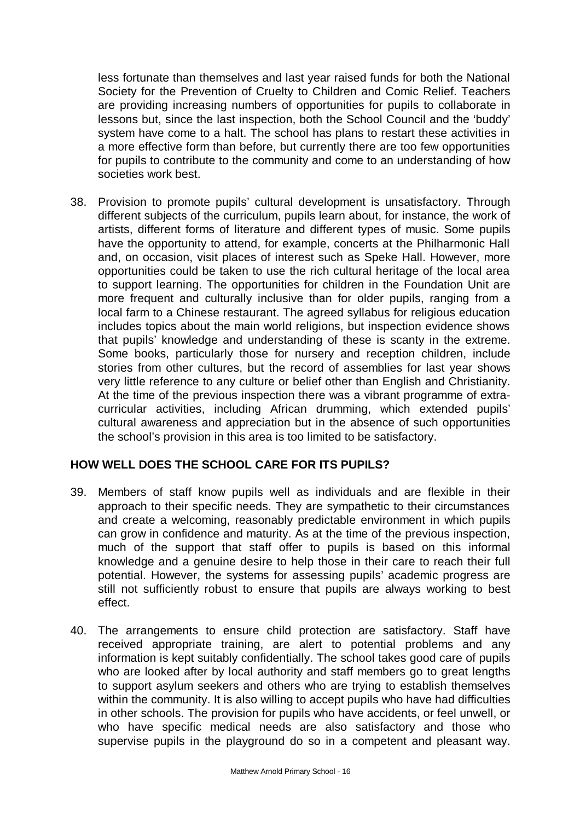less fortunate than themselves and last year raised funds for both the National Society for the Prevention of Cruelty to Children and Comic Relief. Teachers are providing increasing numbers of opportunities for pupils to collaborate in lessons but, since the last inspection, both the School Council and the 'buddy' system have come to a halt. The school has plans to restart these activities in a more effective form than before, but currently there are too few opportunities for pupils to contribute to the community and come to an understanding of how societies work best.

38. Provision to promote pupils' cultural development is unsatisfactory. Through different subjects of the curriculum, pupils learn about, for instance, the work of artists, different forms of literature and different types of music. Some pupils have the opportunity to attend, for example, concerts at the Philharmonic Hall and, on occasion, visit places of interest such as Speke Hall. However, more opportunities could be taken to use the rich cultural heritage of the local area to support learning. The opportunities for children in the Foundation Unit are more frequent and culturally inclusive than for older pupils, ranging from a local farm to a Chinese restaurant. The agreed syllabus for religious education includes topics about the main world religions, but inspection evidence shows that pupils' knowledge and understanding of these is scanty in the extreme. Some books, particularly those for nursery and reception children, include stories from other cultures, but the record of assemblies for last year shows very little reference to any culture or belief other than English and Christianity. At the time of the previous inspection there was a vibrant programme of extracurricular activities, including African drumming, which extended pupils' cultural awareness and appreciation but in the absence of such opportunities the school's provision in this area is too limited to be satisfactory.

# **HOW WELL DOES THE SCHOOL CARE FOR ITS PUPILS?**

- 39. Members of staff know pupils well as individuals and are flexible in their approach to their specific needs. They are sympathetic to their circumstances and create a welcoming, reasonably predictable environment in which pupils can grow in confidence and maturity. As at the time of the previous inspection, much of the support that staff offer to pupils is based on this informal knowledge and a genuine desire to help those in their care to reach their full potential. However, the systems for assessing pupils' academic progress are still not sufficiently robust to ensure that pupils are always working to best effect.
- 40. The arrangements to ensure child protection are satisfactory. Staff have received appropriate training, are alert to potential problems and any information is kept suitably confidentially. The school takes good care of pupils who are looked after by local authority and staff members go to great lengths to support asylum seekers and others who are trying to establish themselves within the community. It is also willing to accept pupils who have had difficulties in other schools. The provision for pupils who have accidents, or feel unwell, or who have specific medical needs are also satisfactory and those who supervise pupils in the playground do so in a competent and pleasant way.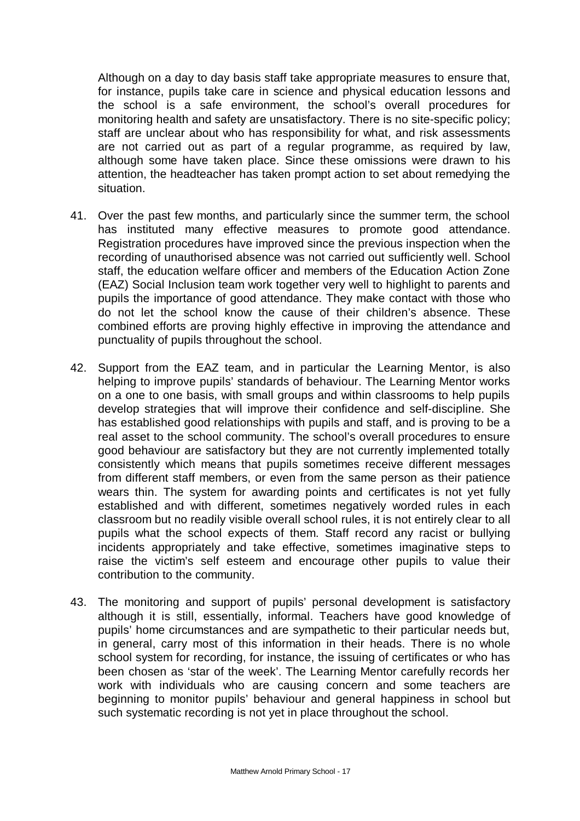Although on a day to day basis staff take appropriate measures to ensure that, for instance, pupils take care in science and physical education lessons and the school is a safe environment, the school's overall procedures for monitoring health and safety are unsatisfactory. There is no site-specific policy; staff are unclear about who has responsibility for what, and risk assessments are not carried out as part of a regular programme, as required by law, although some have taken place. Since these omissions were drawn to his attention, the headteacher has taken prompt action to set about remedying the situation.

- 41. Over the past few months, and particularly since the summer term, the school has instituted many effective measures to promote good attendance. Registration procedures have improved since the previous inspection when the recording of unauthorised absence was not carried out sufficiently well. School staff, the education welfare officer and members of the Education Action Zone (EAZ) Social Inclusion team work together very well to highlight to parents and pupils the importance of good attendance. They make contact with those who do not let the school know the cause of their children's absence. These combined efforts are proving highly effective in improving the attendance and punctuality of pupils throughout the school.
- 42. Support from the EAZ team, and in particular the Learning Mentor, is also helping to improve pupils' standards of behaviour. The Learning Mentor works on a one to one basis, with small groups and within classrooms to help pupils develop strategies that will improve their confidence and self-discipline. She has established good relationships with pupils and staff, and is proving to be a real asset to the school community. The school's overall procedures to ensure good behaviour are satisfactory but they are not currently implemented totally consistently which means that pupils sometimes receive different messages from different staff members, or even from the same person as their patience wears thin. The system for awarding points and certificates is not yet fully established and with different, sometimes negatively worded rules in each classroom but no readily visible overall school rules, it is not entirely clear to all pupils what the school expects of them. Staff record any racist or bullying incidents appropriately and take effective, sometimes imaginative steps to raise the victim's self esteem and encourage other pupils to value their contribution to the community.
- 43. The monitoring and support of pupils' personal development is satisfactory although it is still, essentially, informal. Teachers have good knowledge of pupils' home circumstances and are sympathetic to their particular needs but, in general, carry most of this information in their heads. There is no whole school system for recording, for instance, the issuing of certificates or who has been chosen as 'star of the week'. The Learning Mentor carefully records her work with individuals who are causing concern and some teachers are beginning to monitor pupils' behaviour and general happiness in school but such systematic recording is not yet in place throughout the school.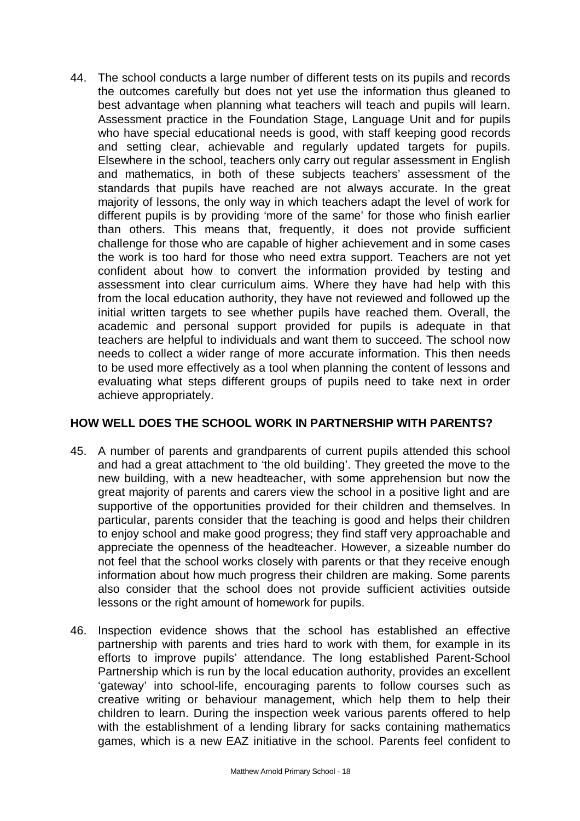44. The school conducts a large number of different tests on its pupils and records the outcomes carefully but does not yet use the information thus gleaned to best advantage when planning what teachers will teach and pupils will learn. Assessment practice in the Foundation Stage, Language Unit and for pupils who have special educational needs is good, with staff keeping good records and setting clear, achievable and regularly updated targets for pupils. Elsewhere in the school, teachers only carry out regular assessment in English and mathematics, in both of these subjects teachers' assessment of the standards that pupils have reached are not always accurate. In the great majority of lessons, the only way in which teachers adapt the level of work for different pupils is by providing 'more of the same' for those who finish earlier than others. This means that, frequently, it does not provide sufficient challenge for those who are capable of higher achievement and in some cases the work is too hard for those who need extra support. Teachers are not yet confident about how to convert the information provided by testing and assessment into clear curriculum aims. Where they have had help with this from the local education authority, they have not reviewed and followed up the initial written targets to see whether pupils have reached them. Overall, the academic and personal support provided for pupils is adequate in that teachers are helpful to individuals and want them to succeed. The school now needs to collect a wider range of more accurate information. This then needs to be used more effectively as a tool when planning the content of lessons and evaluating what steps different groups of pupils need to take next in order achieve appropriately.

# **HOW WELL DOES THE SCHOOL WORK IN PARTNERSHIP WITH PARENTS?**

- 45. A number of parents and grandparents of current pupils attended this school and had a great attachment to 'the old building'. They greeted the move to the new building, with a new headteacher, with some apprehension but now the great majority of parents and carers view the school in a positive light and are supportive of the opportunities provided for their children and themselves. In particular, parents consider that the teaching is good and helps their children to enjoy school and make good progress; they find staff very approachable and appreciate the openness of the headteacher. However, a sizeable number do not feel that the school works closely with parents or that they receive enough information about how much progress their children are making. Some parents also consider that the school does not provide sufficient activities outside lessons or the right amount of homework for pupils.
- 46. Inspection evidence shows that the school has established an effective partnership with parents and tries hard to work with them, for example in its efforts to improve pupils' attendance. The long established Parent-School Partnership which is run by the local education authority, provides an excellent 'gateway' into school-life, encouraging parents to follow courses such as creative writing or behaviour management, which help them to help their children to learn. During the inspection week various parents offered to help with the establishment of a lending library for sacks containing mathematics games, which is a new EAZ initiative in the school. Parents feel confident to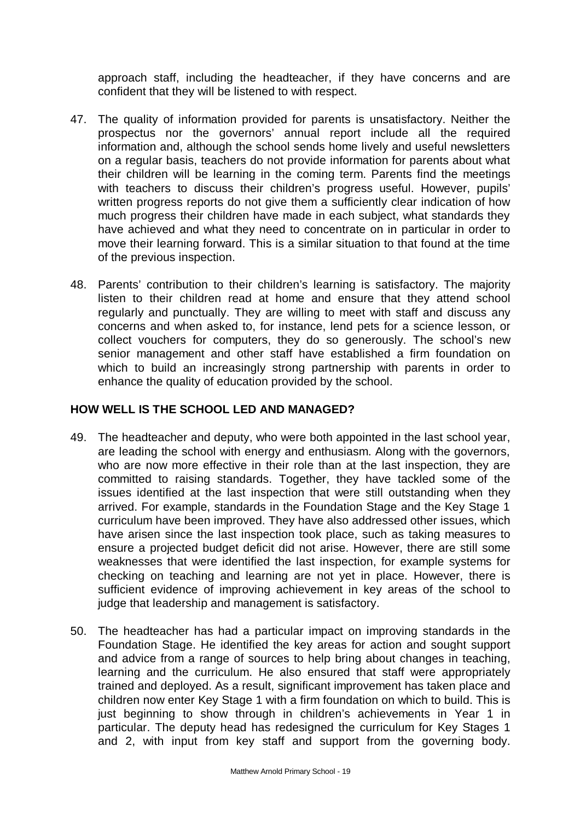approach staff, including the headteacher, if they have concerns and are confident that they will be listened to with respect.

- 47. The quality of information provided for parents is unsatisfactory. Neither the prospectus nor the governors' annual report include all the required information and, although the school sends home lively and useful newsletters on a regular basis, teachers do not provide information for parents about what their children will be learning in the coming term. Parents find the meetings with teachers to discuss their children's progress useful. However, pupils' written progress reports do not give them a sufficiently clear indication of how much progress their children have made in each subject, what standards they have achieved and what they need to concentrate on in particular in order to move their learning forward. This is a similar situation to that found at the time of the previous inspection.
- 48. Parents' contribution to their children's learning is satisfactory. The majority listen to their children read at home and ensure that they attend school regularly and punctually. They are willing to meet with staff and discuss any concerns and when asked to, for instance, lend pets for a science lesson, or collect vouchers for computers, they do so generously. The school's new senior management and other staff have established a firm foundation on which to build an increasingly strong partnership with parents in order to enhance the quality of education provided by the school.

# **HOW WELL IS THE SCHOOL LED AND MANAGED?**

- 49. The headteacher and deputy, who were both appointed in the last school year, are leading the school with energy and enthusiasm. Along with the governors, who are now more effective in their role than at the last inspection, they are committed to raising standards. Together, they have tackled some of the issues identified at the last inspection that were still outstanding when they arrived. For example, standards in the Foundation Stage and the Key Stage 1 curriculum have been improved. They have also addressed other issues, which have arisen since the last inspection took place, such as taking measures to ensure a projected budget deficit did not arise. However, there are still some weaknesses that were identified the last inspection, for example systems for checking on teaching and learning are not yet in place. However, there is sufficient evidence of improving achievement in key areas of the school to judge that leadership and management is satisfactory.
- 50. The headteacher has had a particular impact on improving standards in the Foundation Stage. He identified the key areas for action and sought support and advice from a range of sources to help bring about changes in teaching, learning and the curriculum. He also ensured that staff were appropriately trained and deployed. As a result, significant improvement has taken place and children now enter Key Stage 1 with a firm foundation on which to build. This is just beginning to show through in children's achievements in Year 1 in particular. The deputy head has redesigned the curriculum for Key Stages 1 and 2, with input from key staff and support from the governing body.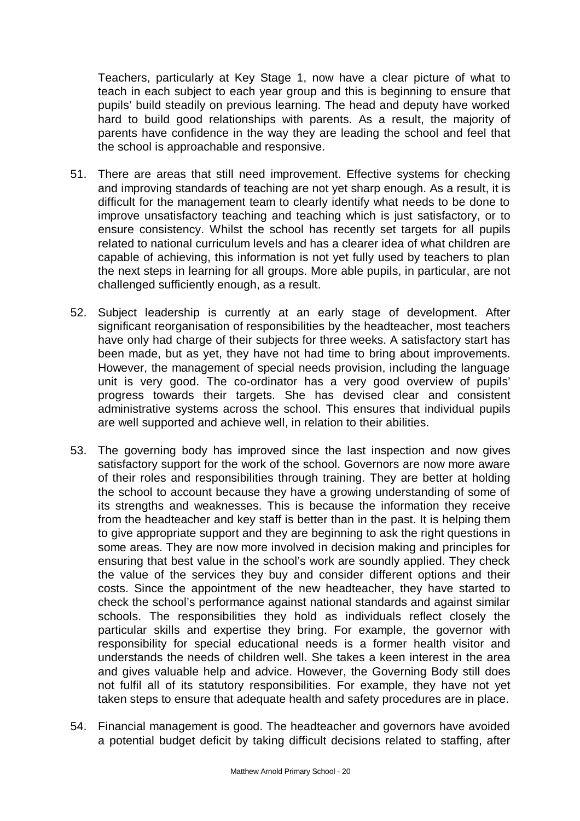Teachers, particularly at Key Stage 1, now have a clear picture of what to teach in each subject to each year group and this is beginning to ensure that pupils' build steadily on previous learning. The head and deputy have worked hard to build good relationships with parents. As a result, the majority of parents have confidence in the way they are leading the school and feel that the school is approachable and responsive.

- 51. There are areas that still need improvement. Effective systems for checking and improving standards of teaching are not yet sharp enough. As a result, it is difficult for the management team to clearly identify what needs to be done to improve unsatisfactory teaching and teaching which is just satisfactory, or to ensure consistency. Whilst the school has recently set targets for all pupils related to national curriculum levels and has a clearer idea of what children are capable of achieving, this information is not yet fully used by teachers to plan the next steps in learning for all groups. More able pupils, in particular, are not challenged sufficiently enough, as a result.
- 52. Subject leadership is currently at an early stage of development. After significant reorganisation of responsibilities by the headteacher, most teachers have only had charge of their subjects for three weeks. A satisfactory start has been made, but as yet, they have not had time to bring about improvements. However, the management of special needs provision, including the language unit is very good. The co-ordinator has a very good overview of pupils' progress towards their targets. She has devised clear and consistent administrative systems across the school. This ensures that individual pupils are well supported and achieve well, in relation to their abilities.
- 53. The governing body has improved since the last inspection and now gives satisfactory support for the work of the school. Governors are now more aware of their roles and responsibilities through training. They are better at holding the school to account because they have a growing understanding of some of its strengths and weaknesses. This is because the information they receive from the headteacher and key staff is better than in the past. It is helping them to give appropriate support and they are beginning to ask the right questions in some areas. They are now more involved in decision making and principles for ensuring that best value in the school's work are soundly applied. They check the value of the services they buy and consider different options and their costs. Since the appointment of the new headteacher, they have started to check the school's performance against national standards and against similar schools. The responsibilities they hold as individuals reflect closely the particular skills and expertise they bring. For example, the governor with responsibility for special educational needs is a former health visitor and understands the needs of children well. She takes a keen interest in the area and gives valuable help and advice. However, the Governing Body still does not fulfil all of its statutory responsibilities. For example, they have not yet taken steps to ensure that adequate health and safety procedures are in place.
- 54. Financial management is good. The headteacher and governors have avoided a potential budget deficit by taking difficult decisions related to staffing, after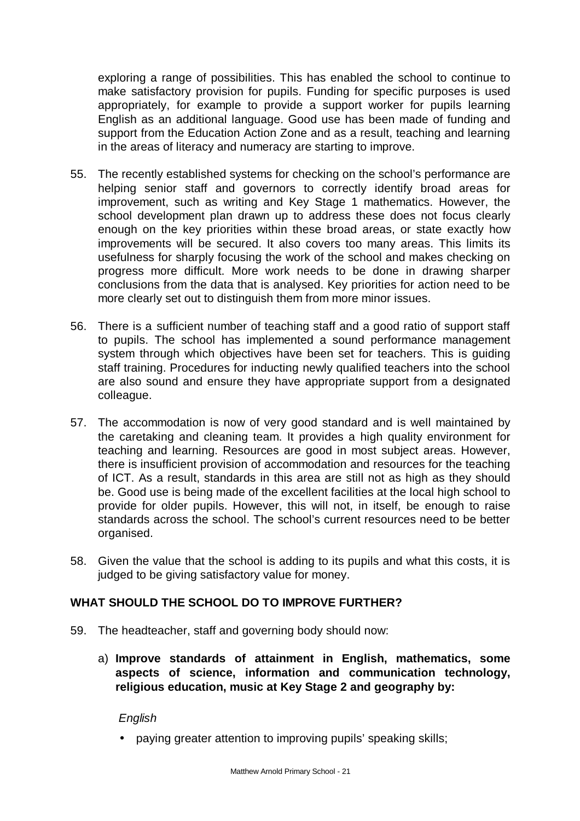exploring a range of possibilities. This has enabled the school to continue to make satisfactory provision for pupils. Funding for specific purposes is used appropriately, for example to provide a support worker for pupils learning English as an additional language. Good use has been made of funding and support from the Education Action Zone and as a result, teaching and learning in the areas of literacy and numeracy are starting to improve.

- 55. The recently established systems for checking on the school's performance are helping senior staff and governors to correctly identify broad areas for improvement, such as writing and Key Stage 1 mathematics. However, the school development plan drawn up to address these does not focus clearly enough on the key priorities within these broad areas, or state exactly how improvements will be secured. It also covers too many areas. This limits its usefulness for sharply focusing the work of the school and makes checking on progress more difficult. More work needs to be done in drawing sharper conclusions from the data that is analysed. Key priorities for action need to be more clearly set out to distinguish them from more minor issues.
- 56. There is a sufficient number of teaching staff and a good ratio of support staff to pupils. The school has implemented a sound performance management system through which objectives have been set for teachers. This is guiding staff training. Procedures for inducting newly qualified teachers into the school are also sound and ensure they have appropriate support from a designated colleague.
- 57. The accommodation is now of very good standard and is well maintained by the caretaking and cleaning team. It provides a high quality environment for teaching and learning. Resources are good in most subject areas. However, there is insufficient provision of accommodation and resources for the teaching of ICT. As a result, standards in this area are still not as high as they should be. Good use is being made of the excellent facilities at the local high school to provide for older pupils. However, this will not, in itself, be enough to raise standards across the school. The school's current resources need to be better organised.
- 58. Given the value that the school is adding to its pupils and what this costs, it is judged to be giving satisfactory value for money.

# **WHAT SHOULD THE SCHOOL DO TO IMPROVE FURTHER?**

- 59. The headteacher, staff and governing body should now:
	- a) **Improve standards of attainment in English, mathematics, some aspects of science, information and communication technology, religious education, music at Key Stage 2 and geography by:**

*English*

• paying greater attention to improving pupils' speaking skills;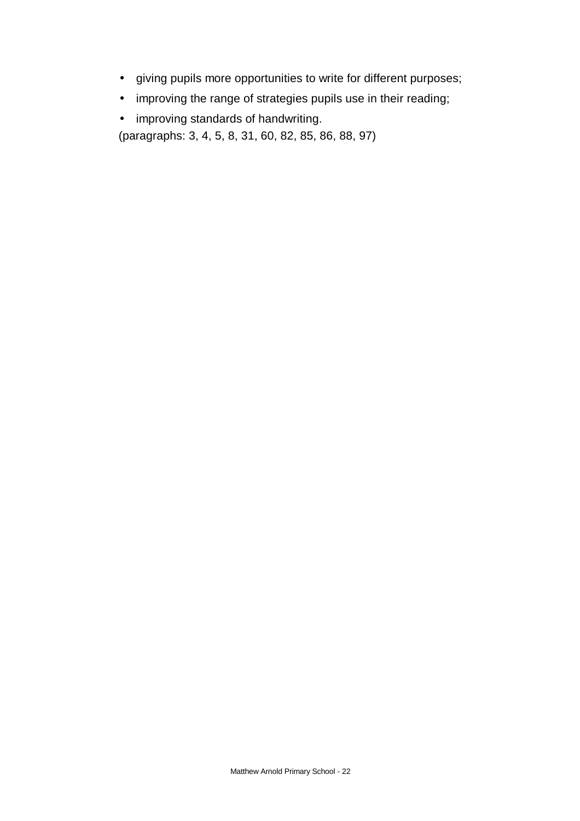- giving pupils more opportunities to write for different purposes;
- improving the range of strategies pupils use in their reading;
- improving standards of handwriting.

(paragraphs: 3, 4, 5, 8, 31, 60, 82, 85, 86, 88, 97)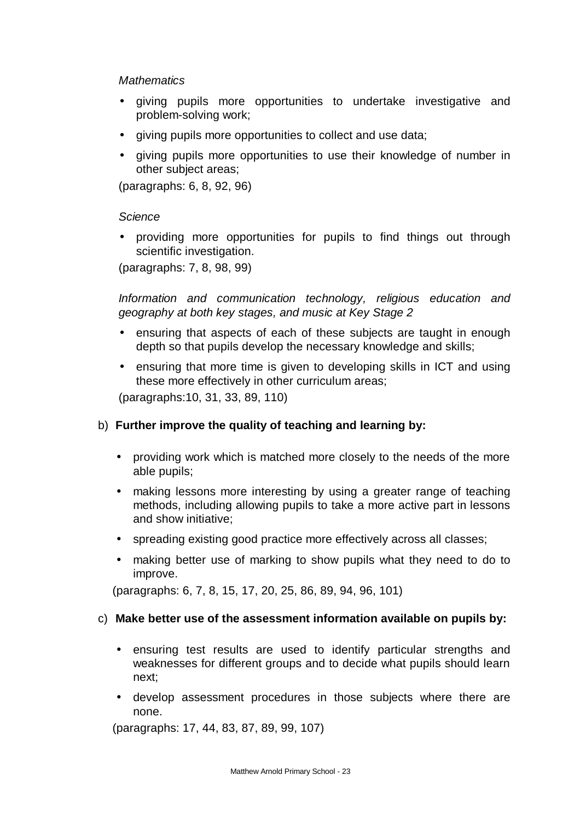#### *Mathematics*

- giving pupils more opportunities to undertake investigative and problem-solving work;
- giving pupils more opportunities to collect and use data;
- giving pupils more opportunities to use their knowledge of number in other subject areas;

(paragraphs: 6, 8, 92, 96)

# *Science*

• providing more opportunities for pupils to find things out through scientific investigation.

(paragraphs: 7, 8, 98, 99)

*Information and communication technology, religious education and geography at both key stages, and music at Key Stage 2* 

- ensuring that aspects of each of these subjects are taught in enough depth so that pupils develop the necessary knowledge and skills;
- ensuring that more time is given to developing skills in ICT and using these more effectively in other curriculum areas;

(paragraphs:10, 31, 33, 89, 110)

# b) **Further improve the quality of teaching and learning by:**

- providing work which is matched more closely to the needs of the more able pupils;
- making lessons more interesting by using a greater range of teaching methods, including allowing pupils to take a more active part in lessons and show initiative;
- spreading existing good practice more effectively across all classes:
- making better use of marking to show pupils what they need to do to improve.

(paragraphs: 6, 7, 8, 15, 17, 20, 25, 86, 89, 94, 96, 101)

# c) **Make better use of the assessment information available on pupils by:**

- ensuring test results are used to identify particular strengths and weaknesses for different groups and to decide what pupils should learn next;
- develop assessment procedures in those subjects where there are none.

(paragraphs: 17, 44, 83, 87, 89, 99, 107)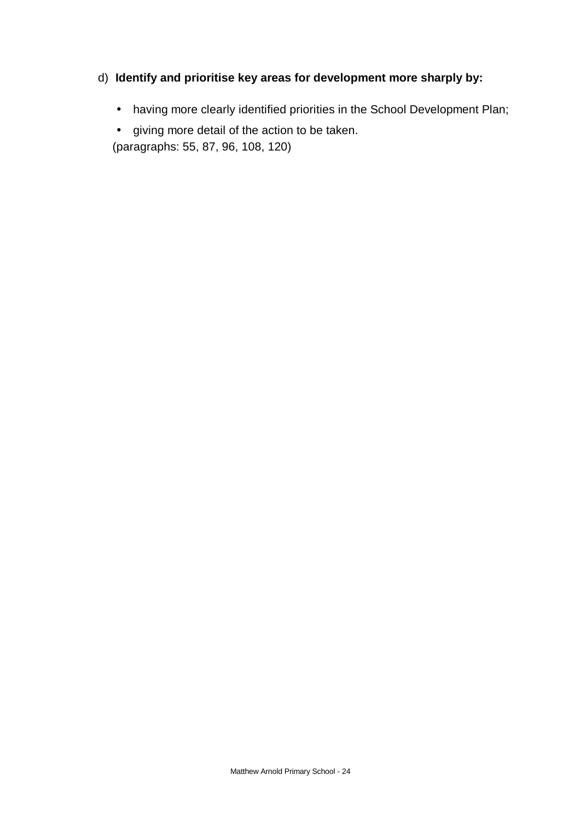# d) **Identify and prioritise key areas for development more sharply by:**

• having more clearly identified priorities in the School Development Plan;

• giving more detail of the action to be taken. (paragraphs: 55, 87, 96, 108, 120)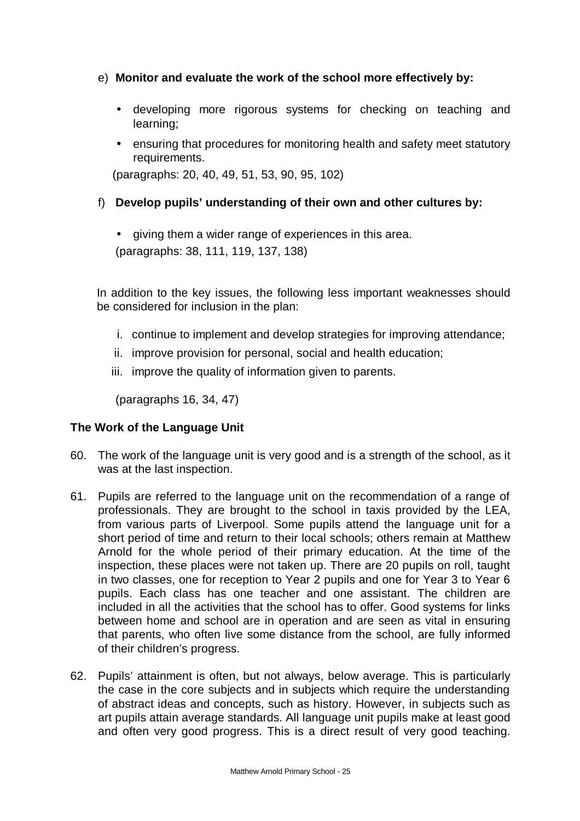# e) **Monitor and evaluate the work of the school more effectively by:**

- developing more rigorous systems for checking on teaching and learning;
- ensuring that procedures for monitoring health and safety meet statutory requirements.

(paragraphs: 20, 40, 49, 51, 53, 90, 95, 102)

# f) **Develop pupils' understanding of their own and other cultures by:**

• giving them a wider range of experiences in this area. (paragraphs: 38, 111, 119, 137, 138)

In addition to the key issues, the following less important weaknesses should be considered for inclusion in the plan:

- i. continue to implement and develop strategies for improving attendance;
- ii. improve provision for personal, social and health education;
- iii. improve the quality of information given to parents.

(paragraphs 16, 34, 47)

# **The Work of the Language Unit**

- 60. The work of the language unit is very good and is a strength of the school, as it was at the last inspection.
- 61. Pupils are referred to the language unit on the recommendation of a range of professionals. They are brought to the school in taxis provided by the LEA, from various parts of Liverpool. Some pupils attend the language unit for a short period of time and return to their local schools; others remain at Matthew Arnold for the whole period of their primary education. At the time of the inspection, these places were not taken up. There are 20 pupils on roll, taught in two classes, one for reception to Year 2 pupils and one for Year 3 to Year 6 pupils. Each class has one teacher and one assistant. The children are included in all the activities that the school has to offer. Good systems for links between home and school are in operation and are seen as vital in ensuring that parents, who often live some distance from the school, are fully informed of their children's progress.
- 62. Pupils' attainment is often, but not always, below average. This is particularly the case in the core subjects and in subjects which require the understanding of abstract ideas and concepts, such as history. However, in subjects such as art pupils attain average standards. All language unit pupils make at least good and often very good progress. This is a direct result of very good teaching.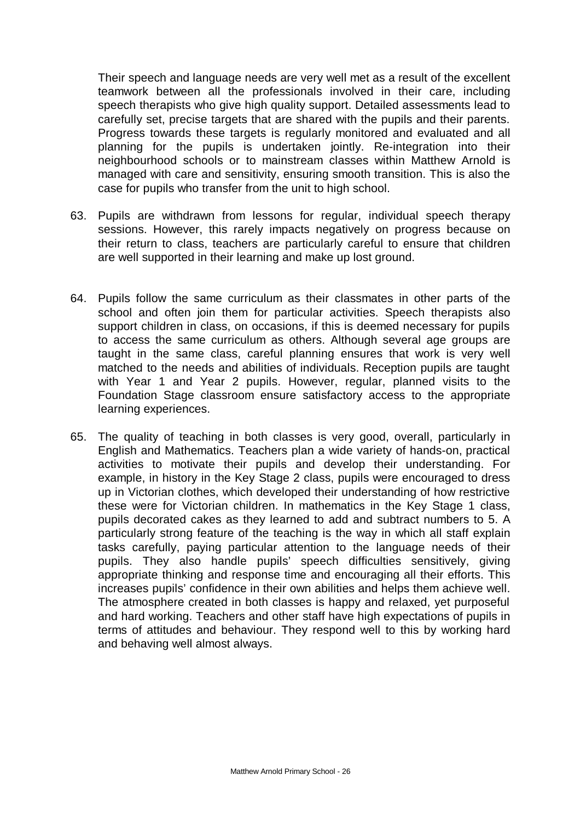Their speech and language needs are very well met as a result of the excellent teamwork between all the professionals involved in their care, including speech therapists who give high quality support. Detailed assessments lead to carefully set, precise targets that are shared with the pupils and their parents. Progress towards these targets is regularly monitored and evaluated and all planning for the pupils is undertaken jointly. Re-integration into their neighbourhood schools or to mainstream classes within Matthew Arnold is managed with care and sensitivity, ensuring smooth transition. This is also the case for pupils who transfer from the unit to high school.

- 63. Pupils are withdrawn from lessons for regular, individual speech therapy sessions. However, this rarely impacts negatively on progress because on their return to class, teachers are particularly careful to ensure that children are well supported in their learning and make up lost ground.
- 64. Pupils follow the same curriculum as their classmates in other parts of the school and often join them for particular activities. Speech therapists also support children in class, on occasions, if this is deemed necessary for pupils to access the same curriculum as others. Although several age groups are taught in the same class, careful planning ensures that work is very well matched to the needs and abilities of individuals. Reception pupils are taught with Year 1 and Year 2 pupils. However, regular, planned visits to the Foundation Stage classroom ensure satisfactory access to the appropriate learning experiences.
- 65. The quality of teaching in both classes is very good, overall, particularly in English and Mathematics. Teachers plan a wide variety of hands-on, practical activities to motivate their pupils and develop their understanding. For example, in history in the Key Stage 2 class, pupils were encouraged to dress up in Victorian clothes, which developed their understanding of how restrictive these were for Victorian children. In mathematics in the Key Stage 1 class, pupils decorated cakes as they learned to add and subtract numbers to 5. A particularly strong feature of the teaching is the way in which all staff explain tasks carefully, paying particular attention to the language needs of their pupils. They also handle pupils' speech difficulties sensitively, giving appropriate thinking and response time and encouraging all their efforts. This increases pupils' confidence in their own abilities and helps them achieve well. The atmosphere created in both classes is happy and relaxed, yet purposeful and hard working. Teachers and other staff have high expectations of pupils in terms of attitudes and behaviour. They respond well to this by working hard and behaving well almost always.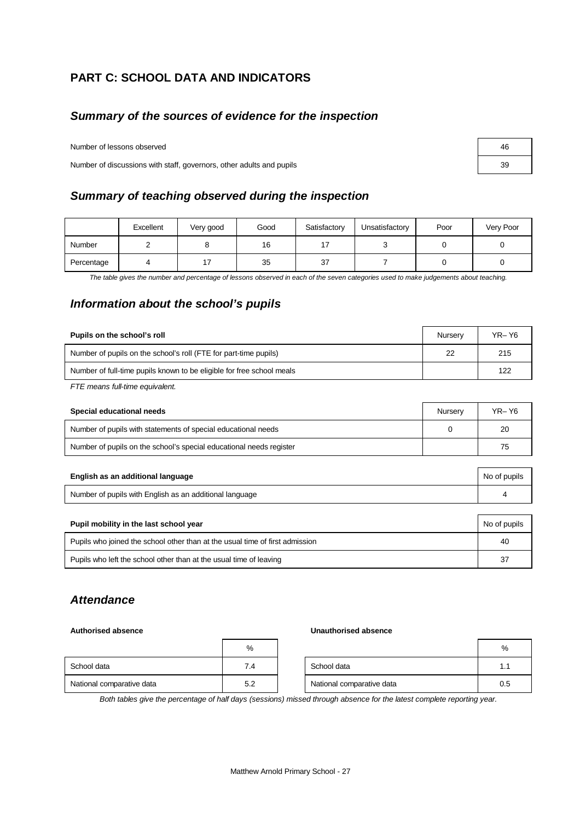# **PART C: SCHOOL DATA AND INDICATORS**

# *Summary of the sources of evidence for the inspection*

Number of lessons observed

Number of discussions with staff, governors, other adults and pupils

# *Summary of teaching observed during the inspection*

|            | Excellent | Very good | Good | Satisfactory | Unsatisfactory | Poor | Very Poor |
|------------|-----------|-----------|------|--------------|----------------|------|-----------|
| Number     |           |           | 16   |              |                |      |           |
| Percentage |           |           | 35   | 37           |                |      |           |

*The table gives the number and percentage of lessons observed in each of the seven categories used to make judgements about teaching.*

# *Information about the school's pupils*

| Pupils on the school's roll                                           | Nurserv | YR-Y6 |
|-----------------------------------------------------------------------|---------|-------|
| Number of pupils on the school's roll (FTE for part-time pupils)      | 22      | 215   |
| Number of full-time pupils known to be eligible for free school meals |         | 122   |
| $ETE$ moong full time on involged                                     |         |       |

*FTE means full-time equivalent.*

| Special educational needs                                           | Nurserv | YR-Y6 |
|---------------------------------------------------------------------|---------|-------|
| Number of pupils with statements of special educational needs       |         | 20    |
| Number of pupils on the school's special educational needs register |         | 75    |

| English as an additional language                       | No of pupils |
|---------------------------------------------------------|--------------|
| Number of pupils with English as an additional language |              |

| Pupil mobility in the last school year                                       | No of pupils |
|------------------------------------------------------------------------------|--------------|
| Pupils who joined the school other than at the usual time of first admission | 40           |
| Pupils who left the school other than at the usual time of leaving           | 37           |

# *Attendance*

#### **Authorised absence Unauthorised absence**

|                           | %   |                           | %   |
|---------------------------|-----|---------------------------|-----|
| School data               | 7.4 | School data               | 1.1 |
| National comparative data | 5.2 | National comparative data | 0.5 |

*Both tables give the percentage of half days (sessions) missed through absence for the latest complete reporting year.*

| 46 |  |
|----|--|
| 39 |  |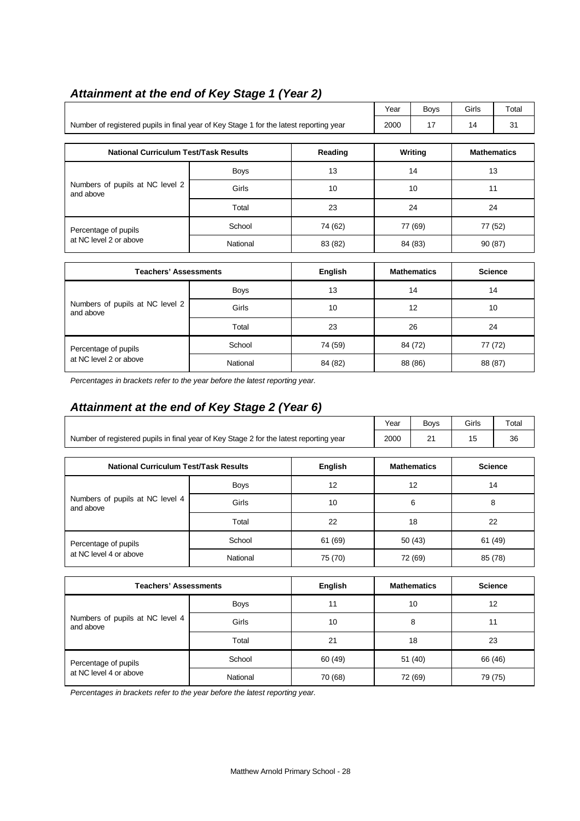|                                                                                        |             |    | Year    | <b>Boys</b> | Girls              | Total |
|----------------------------------------------------------------------------------------|-------------|----|---------|-------------|--------------------|-------|
| Number of registered pupils in final year of Key Stage 1 for the latest reporting year |             |    |         | 17          | 14                 | 31    |
|                                                                                        |             |    |         |             |                    |       |
| <b>National Curriculum Test/Task Results</b>                                           | Reading     |    | Writing |             | <b>Mathematics</b> |       |
|                                                                                        | <b>Boys</b> | 13 |         | 14          |                    | 13    |
| Numbers of pupils at NC level 2<br>and above                                           | Girls       | 10 |         | 10          |                    | 11    |

Percentage of pupils **School** School 74 (62) 77 (69) 77 (52) at NC level 2 or above National 83 (82) 84 (83) 90 (87)

Total 23 24 24

# *Attainment at the end of Key Stage 1 (Year 2)*

| <b>Teachers' Assessments</b>                   |             | English | <b>Mathematics</b> | <b>Science</b> |
|------------------------------------------------|-------------|---------|--------------------|----------------|
| Numbers of pupils at NC level 2<br>and above   | <b>Boys</b> | 13      | 14                 | 14             |
|                                                | Girls       | 10      | 12                 | 10             |
|                                                | Total       | 23      | 26                 | 24             |
| Percentage of pupils<br>at NC level 2 or above | School      | 74 (59) | 84 (72)            | 77 (72)        |
|                                                | National    | 84 (82) | 88 (86)            | 88 (87)        |

*Percentages in brackets refer to the year before the latest reporting year.*

# *Attainment at the end of Key Stage 2 (Year 6)*

|                                              |                                                                                                            |         | Year               | <b>Boys</b>        | Girls | Total          |
|----------------------------------------------|------------------------------------------------------------------------------------------------------------|---------|--------------------|--------------------|-------|----------------|
|                                              | Number of registered pupils in final year of Key Stage 2 for the latest reporting year<br>21<br>15<br>2000 |         |                    |                    | 36    |                |
|                                              |                                                                                                            | English |                    | <b>Mathematics</b> |       | <b>Science</b> |
| <b>National Curriculum Test/Task Results</b> |                                                                                                            |         |                    |                    |       |                |
| Numbers of pupils at NC level 4<br>and above | <b>Boys</b>                                                                                                | 12      | 12<br>14           |                    |       |                |
|                                              | Girls                                                                                                      | 10      |                    | 6<br>8             |       |                |
|                                              | Total                                                                                                      | 22      |                    | 18                 |       | 22             |
| Percentage of pupils                         | School                                                                                                     | 61 (69) |                    | 50(43)<br>61 (49)  |       |                |
| at NC level 4 or above                       | National                                                                                                   | 75 (70) | 72 (69)<br>85 (78) |                    |       |                |
|                                              |                                                                                                            |         |                    |                    |       |                |
| <b>Teachers' Assessments</b>                 |                                                                                                            | English |                    | <b>Mathematics</b> |       | <b>Science</b> |
|                                              |                                                                                                            |         |                    |                    |       |                |

| I GACHEI S-ASSESSHIEHIS                      |                   | English | <b>Matrichiatics</b> | ocience |
|----------------------------------------------|-------------------|---------|----------------------|---------|
|                                              | <b>Boys</b>       | 11      | 10                   | 12      |
| Numbers of pupils at NC level 4<br>and above | Girls             | 10      | 8                    | 11      |
|                                              | Total<br>21<br>18 |         | 23                   |         |
| Percentage of pupils                         | School            | 60 (49) | 51 (40)              | 66 (46) |
| at NC level 4 or above                       | National          | 70 (68) | 72 (69)              | 79 (75) |

*Percentages in brackets refer to the year before the latest reporting year.*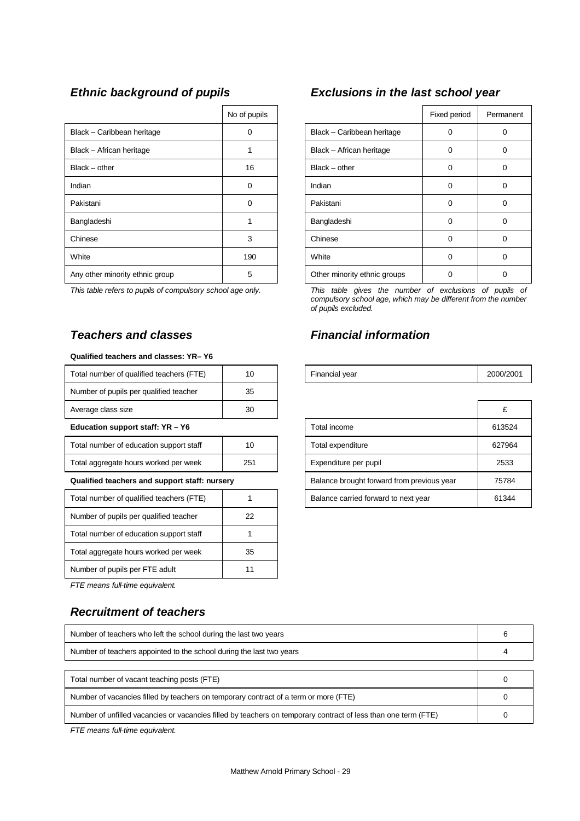|                                 | No of pupils |                              | Fixed period | Perma |
|---------------------------------|--------------|------------------------------|--------------|-------|
| Black - Caribbean heritage      | ∩            | Black - Caribbean heritage   | 0            | 0     |
| Black - African heritage        |              | Black - African heritage     | 0            | 0     |
| $Black - other$                 | 16           | $Black - other$              | 0            | 0     |
| Indian                          | 0            | Indian                       | 0            | 0     |
| Pakistani                       | $\Omega$     | Pakistani                    | $\Omega$     | 0     |
| Bangladeshi                     |              | Bangladeshi                  | $\Omega$     | 0     |
| Chinese                         | 3            | Chinese                      | 0            | 0     |
| White                           | 190          | White                        | 0            | 0     |
| Any other minority ethnic group | 5            | Other minority ethnic groups | U            | 0     |

#### *Teachers and classes Financial information*

#### **Qualified teachers and classes: YR– Y6**

| Total number of qualified teachers (FTE)      | 10  | Financial year                             | 2000/ |
|-----------------------------------------------|-----|--------------------------------------------|-------|
| Number of pupils per qualified teacher        | 35  |                                            |       |
| Average class size                            | 30  |                                            | £     |
| Education support staff: YR - Y6              |     | Total income                               | 613   |
| Total number of education support staff       | 10  | Total expenditure                          | 6279  |
| Total aggregate hours worked per week         | 251 | Expenditure per pupil                      | 25    |
| Qualified teachers and support staff: nursery |     | Balance brought forward from previous year | 757   |
| Total number of qualified teachers (FTE)      |     | Balance carried forward to next year       | 613   |
| Number of pupils per qualified teacher        | 22  |                                            |       |
| Total number of education support staff       |     |                                            |       |
| Total aggregate hours worked per week         | 35  |                                            |       |
| Number of pupils per FTE adult                | 11  |                                            |       |

*FTE means full-time equivalent.*

#### *Recruitment of teachers*

| Number of teachers who left the school during the last two years                                               |  |  |  |
|----------------------------------------------------------------------------------------------------------------|--|--|--|
| Number of teachers appointed to the school during the last two years                                           |  |  |  |
|                                                                                                                |  |  |  |
| Total number of vacant teaching posts (FTE)                                                                    |  |  |  |
| Number of vacancies filled by teachers on temporary contract of a term or more (FTE)                           |  |  |  |
| Number of unfilled vacancies or vacancies filled by teachers on temporary contract of less than one term (FTE) |  |  |  |

*FTE means full-time equivalent.*

# *Ethnic background of pupils Exclusions in the last school year*

| No of pupils |                              | Fixed period | Permanent |
|--------------|------------------------------|--------------|-----------|
| 0            | Black - Caribbean heritage   | $\Omega$     | 0         |
|              | Black - African heritage     | $\Omega$     | 0         |
| 16           | $Black - other$              | $\Omega$     | 0         |
| 0            | Indian                       | $\Omega$     | 0         |
| n            | Pakistani                    | ∩            | 0         |
|              | Bangladeshi                  | $\Omega$     | Ω         |
| 3            | Chinese                      | ∩            | 0         |
| 190          | White                        | $\Omega$     | 0         |
| 5            | Other minority ethnic groups |              | 0         |

*This table refers to pupils of compulsory school age only. This table gives the number of exclusions of pupils of compulsory school age, which may be different from the number of pupils excluded.*

| Total number of qualified teachers (FTE)      | 10  | Financial year                             |        |
|-----------------------------------------------|-----|--------------------------------------------|--------|
| Number of pupils per qualified teacher        | 35  |                                            |        |
| Average class size                            | 30  |                                            | £      |
| Education support staff: YR - Y6              |     | Total income                               | 613524 |
| Total number of education support staff       | 10  | Total expenditure                          | 627964 |
| Total aggregate hours worked per week         | 251 | Expenditure per pupil                      | 2533   |
| Qualified teachers and support staff: nursery |     | Balance brought forward from previous year | 75784  |
| Total number of qualified teachers (FTE)      |     | Balance carried forward to next year       | 61344  |
|                                               |     |                                            |        |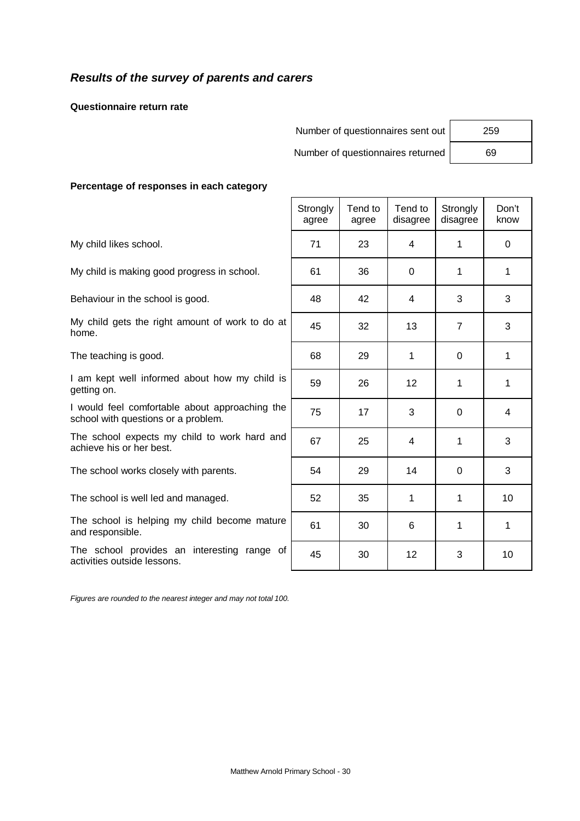# *Results of the survey of parents and carers*

**Questionnaire return rate**

| Number of questionnaires sent out | 259 |
|-----------------------------------|-----|
| Number of questionnaires returned | 69  |

 $\top$ 

 $\top$ 

 $\top$ 

 $\overline{\mathsf{I}}$ 

 $\mathsf{r}$ 

 $\overline{\phantom{a}}$ 

#### **Percentage of responses in each category**

|                                                                                       | Strongly<br>agree | Tend to<br>agree | Tend to<br>disagree | Strongly<br>disagree | Don't<br>know |
|---------------------------------------------------------------------------------------|-------------------|------------------|---------------------|----------------------|---------------|
| My child likes school.                                                                | 71                | 23               | 4                   | 1                    | $\Omega$      |
| My child is making good progress in school.                                           | 61                | 36               | 0                   | 1                    | 1             |
| Behaviour in the school is good.                                                      | 48                | 42               | 4                   | 3                    | 3             |
| My child gets the right amount of work to do at<br>home.                              | 45                | 32               | 13                  | $\overline{7}$       | 3             |
| The teaching is good.                                                                 | 68                | 29               | 1                   | $\Omega$             | 1             |
| I am kept well informed about how my child is<br>getting on.                          | 59                | 26               | $12 \overline{ }$   | 1                    | 1             |
| I would feel comfortable about approaching the<br>school with questions or a problem. | 75                | 17               | 3                   | $\overline{0}$       | 4             |
| The school expects my child to work hard and<br>achieve his or her best.              | 67                | 25               | 4                   | 1                    | 3             |
| The school works closely with parents.                                                | 54                | 29               | 14                  | 0                    | 3             |
| The school is well led and managed.                                                   | 52                | 35               | 1                   | 1                    | 10            |
| The school is helping my child become mature<br>and responsible.                      | 61                | 30               | 6                   | 1                    | 1             |
| The school provides an interesting range of<br>activities outside lessons.            | 45                | 30               | 12                  | 3                    | 10            |

 $\Gamma$ 

*Figures are rounded to the nearest integer and may not total 100.*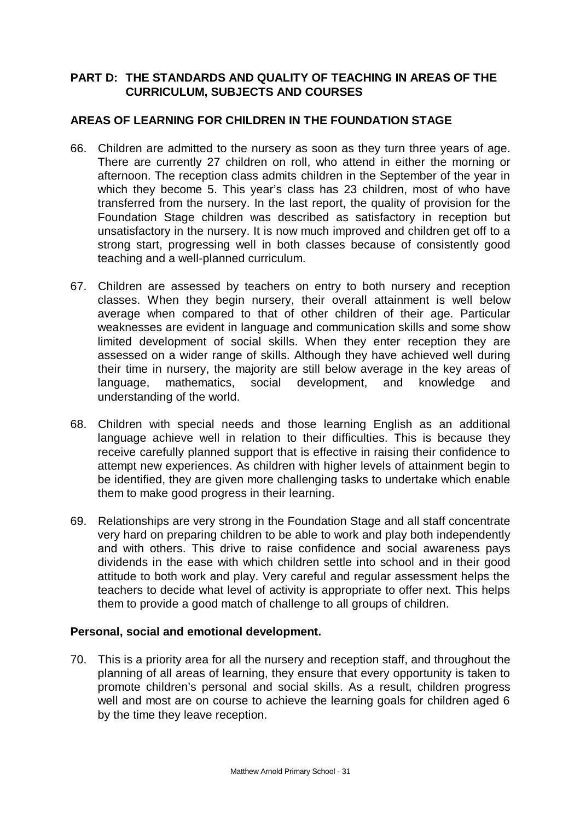# **PART D: THE STANDARDS AND QUALITY OF TEACHING IN AREAS OF THE CURRICULUM, SUBJECTS AND COURSES**

# **AREAS OF LEARNING FOR CHILDREN IN THE FOUNDATION STAGE**

- 66. Children are admitted to the nursery as soon as they turn three years of age. There are currently 27 children on roll, who attend in either the morning or afternoon. The reception class admits children in the September of the year in which they become 5. This year's class has 23 children, most of who have transferred from the nursery. In the last report, the quality of provision for the Foundation Stage children was described as satisfactory in reception but unsatisfactory in the nursery. It is now much improved and children get off to a strong start, progressing well in both classes because of consistently good teaching and a well-planned curriculum.
- 67. Children are assessed by teachers on entry to both nursery and reception classes. When they begin nursery, their overall attainment is well below average when compared to that of other children of their age. Particular weaknesses are evident in language and communication skills and some show limited development of social skills. When they enter reception they are assessed on a wider range of skills. Although they have achieved well during their time in nursery, the majority are still below average in the key areas of language, mathematics, social development, and knowledge and understanding of the world.
- 68. Children with special needs and those learning English as an additional language achieve well in relation to their difficulties. This is because they receive carefully planned support that is effective in raising their confidence to attempt new experiences. As children with higher levels of attainment begin to be identified, they are given more challenging tasks to undertake which enable them to make good progress in their learning.
- 69. Relationships are very strong in the Foundation Stage and all staff concentrate very hard on preparing children to be able to work and play both independently and with others. This drive to raise confidence and social awareness pays dividends in the ease with which children settle into school and in their good attitude to both work and play. Very careful and regular assessment helps the teachers to decide what level of activity is appropriate to offer next. This helps them to provide a good match of challenge to all groups of children.

# **Personal, social and emotional development.**

70. This is a priority area for all the nursery and reception staff, and throughout the planning of all areas of learning, they ensure that every opportunity is taken to promote children's personal and social skills. As a result, children progress well and most are on course to achieve the learning goals for children aged 6 by the time they leave reception.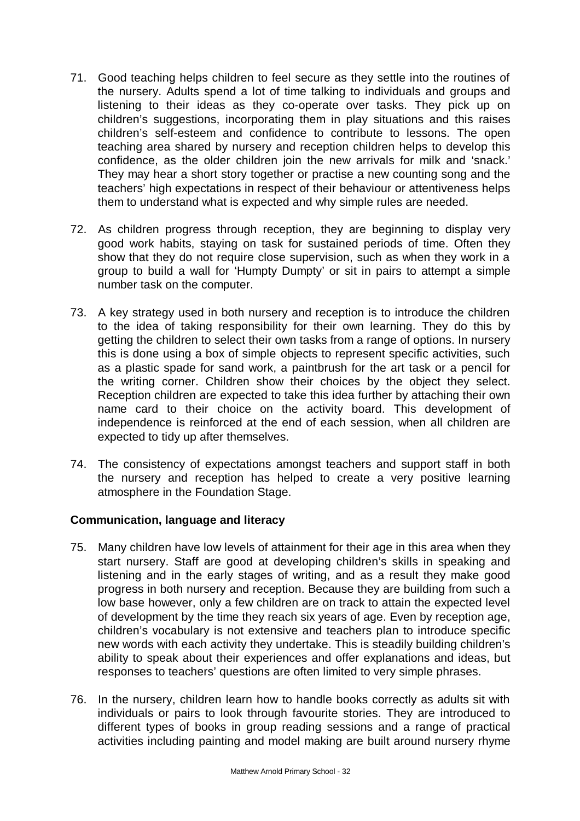- 71. Good teaching helps children to feel secure as they settle into the routines of the nursery. Adults spend a lot of time talking to individuals and groups and listening to their ideas as they co-operate over tasks. They pick up on children's suggestions, incorporating them in play situations and this raises children's self-esteem and confidence to contribute to lessons. The open teaching area shared by nursery and reception children helps to develop this confidence, as the older children join the new arrivals for milk and 'snack.' They may hear a short story together or practise a new counting song and the teachers' high expectations in respect of their behaviour or attentiveness helps them to understand what is expected and why simple rules are needed.
- 72. As children progress through reception, they are beginning to display very good work habits, staying on task for sustained periods of time. Often they show that they do not require close supervision, such as when they work in a group to build a wall for 'Humpty Dumpty' or sit in pairs to attempt a simple number task on the computer.
- 73. A key strategy used in both nursery and reception is to introduce the children to the idea of taking responsibility for their own learning. They do this by getting the children to select their own tasks from a range of options. In nursery this is done using a box of simple objects to represent specific activities, such as a plastic spade for sand work, a paintbrush for the art task or a pencil for the writing corner. Children show their choices by the object they select. Reception children are expected to take this idea further by attaching their own name card to their choice on the activity board. This development of independence is reinforced at the end of each session, when all children are expected to tidy up after themselves.
- 74. The consistency of expectations amongst teachers and support staff in both the nursery and reception has helped to create a very positive learning atmosphere in the Foundation Stage.

# **Communication, language and literacy**

- 75. Many children have low levels of attainment for their age in this area when they start nursery. Staff are good at developing children's skills in speaking and listening and in the early stages of writing, and as a result they make good progress in both nursery and reception. Because they are building from such a low base however, only a few children are on track to attain the expected level of development by the time they reach six years of age. Even by reception age, children's vocabulary is not extensive and teachers plan to introduce specific new words with each activity they undertake. This is steadily building children's ability to speak about their experiences and offer explanations and ideas, but responses to teachers' questions are often limited to very simple phrases.
- 76. In the nursery, children learn how to handle books correctly as adults sit with individuals or pairs to look through favourite stories. They are introduced to different types of books in group reading sessions and a range of practical activities including painting and model making are built around nursery rhyme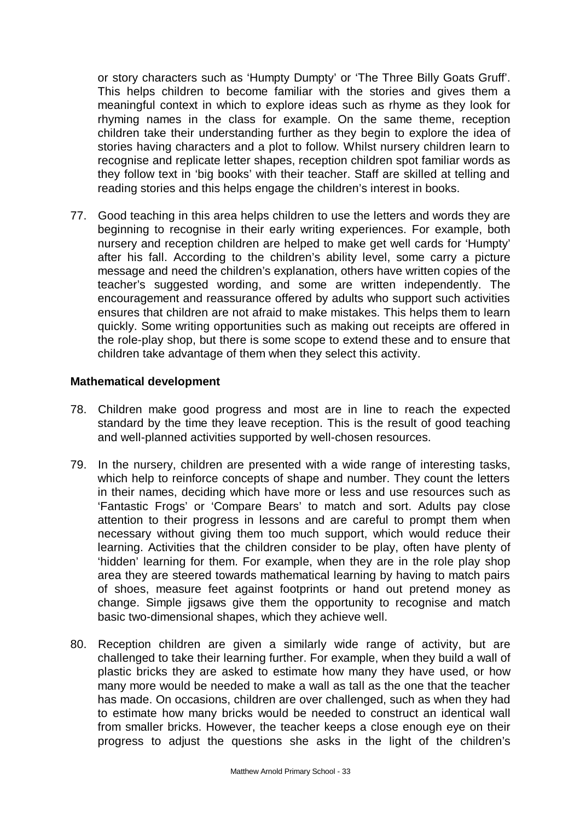or story characters such as 'Humpty Dumpty' or 'The Three Billy Goats Gruff'. This helps children to become familiar with the stories and gives them a meaningful context in which to explore ideas such as rhyme as they look for rhyming names in the class for example. On the same theme, reception children take their understanding further as they begin to explore the idea of stories having characters and a plot to follow. Whilst nursery children learn to recognise and replicate letter shapes, reception children spot familiar words as they follow text in 'big books' with their teacher. Staff are skilled at telling and reading stories and this helps engage the children's interest in books.

77. Good teaching in this area helps children to use the letters and words they are beginning to recognise in their early writing experiences. For example, both nursery and reception children are helped to make get well cards for 'Humpty' after his fall. According to the children's ability level, some carry a picture message and need the children's explanation, others have written copies of the teacher's suggested wording, and some are written independently. The encouragement and reassurance offered by adults who support such activities ensures that children are not afraid to make mistakes. This helps them to learn quickly. Some writing opportunities such as making out receipts are offered in the role-play shop, but there is some scope to extend these and to ensure that children take advantage of them when they select this activity.

#### **Mathematical development**

- 78. Children make good progress and most are in line to reach the expected standard by the time they leave reception. This is the result of good teaching and well-planned activities supported by well-chosen resources.
- 79. In the nursery, children are presented with a wide range of interesting tasks, which help to reinforce concepts of shape and number. They count the letters in their names, deciding which have more or less and use resources such as 'Fantastic Frogs' or 'Compare Bears' to match and sort. Adults pay close attention to their progress in lessons and are careful to prompt them when necessary without giving them too much support, which would reduce their learning. Activities that the children consider to be play, often have plenty of 'hidden' learning for them. For example, when they are in the role play shop area they are steered towards mathematical learning by having to match pairs of shoes, measure feet against footprints or hand out pretend money as change. Simple jigsaws give them the opportunity to recognise and match basic two-dimensional shapes, which they achieve well.
- 80. Reception children are given a similarly wide range of activity, but are challenged to take their learning further. For example, when they build a wall of plastic bricks they are asked to estimate how many they have used, or how many more would be needed to make a wall as tall as the one that the teacher has made. On occasions, children are over challenged, such as when they had to estimate how many bricks would be needed to construct an identical wall from smaller bricks. However, the teacher keeps a close enough eye on their progress to adjust the questions she asks in the light of the children's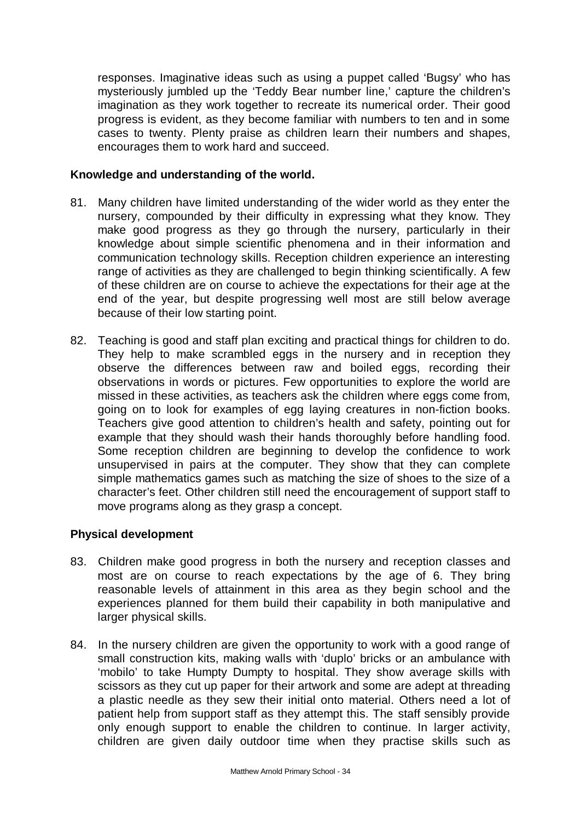responses. Imaginative ideas such as using a puppet called 'Bugsy' who has mysteriously jumbled up the 'Teddy Bear number line,' capture the children's imagination as they work together to recreate its numerical order. Their good progress is evident, as they become familiar with numbers to ten and in some cases to twenty. Plenty praise as children learn their numbers and shapes, encourages them to work hard and succeed.

#### **Knowledge and understanding of the world.**

- 81. Many children have limited understanding of the wider world as they enter the nursery, compounded by their difficulty in expressing what they know. They make good progress as they go through the nursery, particularly in their knowledge about simple scientific phenomena and in their information and communication technology skills. Reception children experience an interesting range of activities as they are challenged to begin thinking scientifically. A few of these children are on course to achieve the expectations for their age at the end of the year, but despite progressing well most are still below average because of their low starting point.
- 82. Teaching is good and staff plan exciting and practical things for children to do. They help to make scrambled eggs in the nursery and in reception they observe the differences between raw and boiled eggs, recording their observations in words or pictures. Few opportunities to explore the world are missed in these activities, as teachers ask the children where eggs come from, going on to look for examples of egg laying creatures in non-fiction books. Teachers give good attention to children's health and safety, pointing out for example that they should wash their hands thoroughly before handling food. Some reception children are beginning to develop the confidence to work unsupervised in pairs at the computer. They show that they can complete simple mathematics games such as matching the size of shoes to the size of a character's feet. Other children still need the encouragement of support staff to move programs along as they grasp a concept.

# **Physical development**

- 83. Children make good progress in both the nursery and reception classes and most are on course to reach expectations by the age of 6. They bring reasonable levels of attainment in this area as they begin school and the experiences planned for them build their capability in both manipulative and larger physical skills.
- 84. In the nursery children are given the opportunity to work with a good range of small construction kits, making walls with 'duplo' bricks or an ambulance with 'mobilo' to take Humpty Dumpty to hospital. They show average skills with scissors as they cut up paper for their artwork and some are adept at threading a plastic needle as they sew their initial onto material. Others need a lot of patient help from support staff as they attempt this. The staff sensibly provide only enough support to enable the children to continue. In larger activity, children are given daily outdoor time when they practise skills such as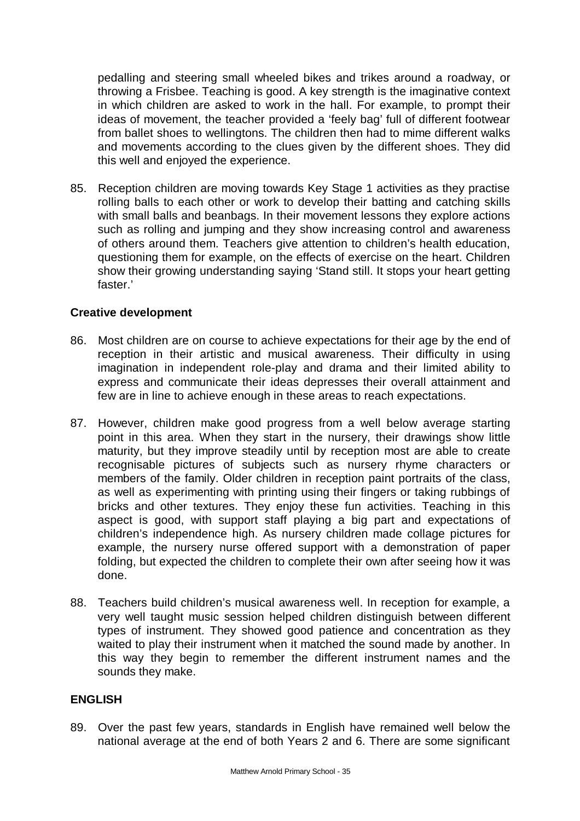pedalling and steering small wheeled bikes and trikes around a roadway, or throwing a Frisbee. Teaching is good. A key strength is the imaginative context in which children are asked to work in the hall. For example, to prompt their ideas of movement, the teacher provided a 'feely bag' full of different footwear from ballet shoes to wellingtons. The children then had to mime different walks and movements according to the clues given by the different shoes. They did this well and enjoyed the experience.

85. Reception children are moving towards Key Stage 1 activities as they practise rolling balls to each other or work to develop their batting and catching skills with small balls and beanbags. In their movement lessons they explore actions such as rolling and jumping and they show increasing control and awareness of others around them. Teachers give attention to children's health education, questioning them for example, on the effects of exercise on the heart. Children show their growing understanding saying 'Stand still. It stops your heart getting faster.'

# **Creative development**

- 86. Most children are on course to achieve expectations for their age by the end of reception in their artistic and musical awareness. Their difficulty in using imagination in independent role-play and drama and their limited ability to express and communicate their ideas depresses their overall attainment and few are in line to achieve enough in these areas to reach expectations.
- 87. However, children make good progress from a well below average starting point in this area. When they start in the nursery, their drawings show little maturity, but they improve steadily until by reception most are able to create recognisable pictures of subjects such as nursery rhyme characters or members of the family. Older children in reception paint portraits of the class, as well as experimenting with printing using their fingers or taking rubbings of bricks and other textures. They enjoy these fun activities. Teaching in this aspect is good, with support staff playing a big part and expectations of children's independence high. As nursery children made collage pictures for example, the nursery nurse offered support with a demonstration of paper folding, but expected the children to complete their own after seeing how it was done.
- 88. Teachers build children's musical awareness well. In reception for example, a very well taught music session helped children distinguish between different types of instrument. They showed good patience and concentration as they waited to play their instrument when it matched the sound made by another. In this way they begin to remember the different instrument names and the sounds they make.

# **ENGLISH**

89. Over the past few years, standards in English have remained well below the national average at the end of both Years 2 and 6. There are some significant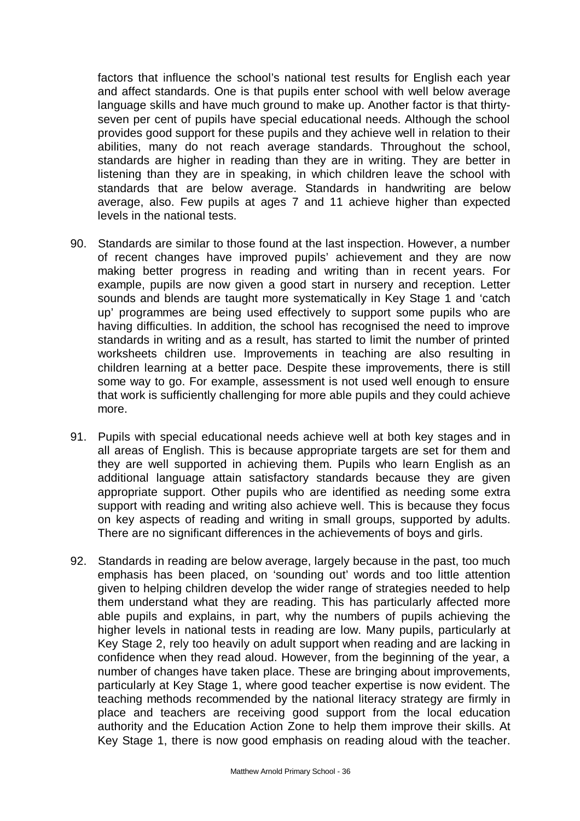factors that influence the school's national test results for English each year and affect standards. One is that pupils enter school with well below average language skills and have much ground to make up. Another factor is that thirtyseven per cent of pupils have special educational needs. Although the school provides good support for these pupils and they achieve well in relation to their abilities, many do not reach average standards. Throughout the school, standards are higher in reading than they are in writing. They are better in listening than they are in speaking, in which children leave the school with standards that are below average. Standards in handwriting are below average, also. Few pupils at ages 7 and 11 achieve higher than expected levels in the national tests.

- 90. Standards are similar to those found at the last inspection. However, a number of recent changes have improved pupils' achievement and they are now making better progress in reading and writing than in recent years. For example, pupils are now given a good start in nursery and reception. Letter sounds and blends are taught more systematically in Key Stage 1 and 'catch up' programmes are being used effectively to support some pupils who are having difficulties. In addition, the school has recognised the need to improve standards in writing and as a result, has started to limit the number of printed worksheets children use. Improvements in teaching are also resulting in children learning at a better pace. Despite these improvements, there is still some way to go. For example, assessment is not used well enough to ensure that work is sufficiently challenging for more able pupils and they could achieve more.
- 91. Pupils with special educational needs achieve well at both key stages and in all areas of English. This is because appropriate targets are set for them and they are well supported in achieving them. Pupils who learn English as an additional language attain satisfactory standards because they are given appropriate support. Other pupils who are identified as needing some extra support with reading and writing also achieve well. This is because they focus on key aspects of reading and writing in small groups, supported by adults. There are no significant differences in the achievements of boys and girls.
- 92. Standards in reading are below average, largely because in the past, too much emphasis has been placed, on 'sounding out' words and too little attention given to helping children develop the wider range of strategies needed to help them understand what they are reading. This has particularly affected more able pupils and explains, in part, why the numbers of pupils achieving the higher levels in national tests in reading are low. Many pupils, particularly at Key Stage 2, rely too heavily on adult support when reading and are lacking in confidence when they read aloud. However, from the beginning of the year, a number of changes have taken place. These are bringing about improvements, particularly at Key Stage 1, where good teacher expertise is now evident. The teaching methods recommended by the national literacy strategy are firmly in place and teachers are receiving good support from the local education authority and the Education Action Zone to help them improve their skills. At Key Stage 1, there is now good emphasis on reading aloud with the teacher.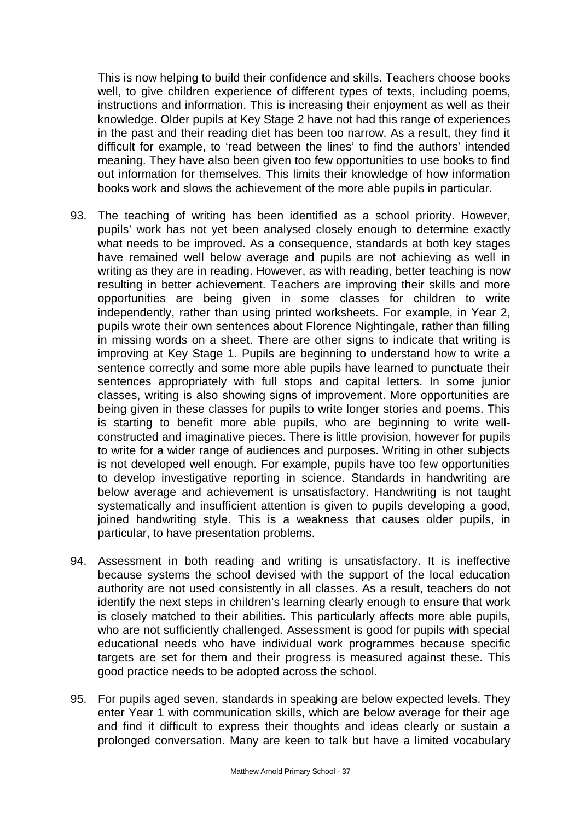This is now helping to build their confidence and skills. Teachers choose books well, to give children experience of different types of texts, including poems, instructions and information. This is increasing their enjoyment as well as their knowledge. Older pupils at Key Stage 2 have not had this range of experiences in the past and their reading diet has been too narrow. As a result, they find it difficult for example, to 'read between the lines' to find the authors' intended meaning. They have also been given too few opportunities to use books to find out information for themselves. This limits their knowledge of how information books work and slows the achievement of the more able pupils in particular.

- 93. The teaching of writing has been identified as a school priority. However, pupils' work has not yet been analysed closely enough to determine exactly what needs to be improved. As a consequence, standards at both key stages have remained well below average and pupils are not achieving as well in writing as they are in reading. However, as with reading, better teaching is now resulting in better achievement. Teachers are improving their skills and more opportunities are being given in some classes for children to write independently, rather than using printed worksheets. For example, in Year 2, pupils wrote their own sentences about Florence Nightingale, rather than filling in missing words on a sheet. There are other signs to indicate that writing is improving at Key Stage 1. Pupils are beginning to understand how to write a sentence correctly and some more able pupils have learned to punctuate their sentences appropriately with full stops and capital letters. In some junior classes, writing is also showing signs of improvement. More opportunities are being given in these classes for pupils to write longer stories and poems. This is starting to benefit more able pupils, who are beginning to write wellconstructed and imaginative pieces. There is little provision, however for pupils to write for a wider range of audiences and purposes. Writing in other subjects is not developed well enough. For example, pupils have too few opportunities to develop investigative reporting in science. Standards in handwriting are below average and achievement is unsatisfactory. Handwriting is not taught systematically and insufficient attention is given to pupils developing a good, joined handwriting style. This is a weakness that causes older pupils, in particular, to have presentation problems.
- 94. Assessment in both reading and writing is unsatisfactory. It is ineffective because systems the school devised with the support of the local education authority are not used consistently in all classes. As a result, teachers do not identify the next steps in children's learning clearly enough to ensure that work is closely matched to their abilities. This particularly affects more able pupils, who are not sufficiently challenged. Assessment is good for pupils with special educational needs who have individual work programmes because specific targets are set for them and their progress is measured against these. This good practice needs to be adopted across the school.
- 95. For pupils aged seven, standards in speaking are below expected levels. They enter Year 1 with communication skills, which are below average for their age and find it difficult to express their thoughts and ideas clearly or sustain a prolonged conversation. Many are keen to talk but have a limited vocabulary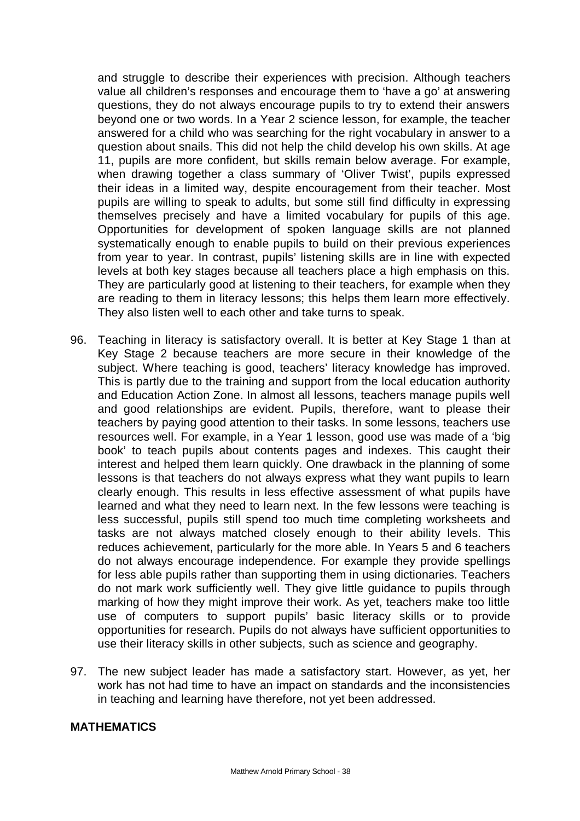and struggle to describe their experiences with precision. Although teachers value all children's responses and encourage them to 'have a go' at answering questions, they do not always encourage pupils to try to extend their answers beyond one or two words. In a Year 2 science lesson, for example, the teacher answered for a child who was searching for the right vocabulary in answer to a question about snails. This did not help the child develop his own skills. At age 11, pupils are more confident, but skills remain below average. For example, when drawing together a class summary of 'Oliver Twist', pupils expressed their ideas in a limited way, despite encouragement from their teacher. Most pupils are willing to speak to adults, but some still find difficulty in expressing themselves precisely and have a limited vocabulary for pupils of this age. Opportunities for development of spoken language skills are not planned systematically enough to enable pupils to build on their previous experiences from year to year. In contrast, pupils' listening skills are in line with expected levels at both key stages because all teachers place a high emphasis on this. They are particularly good at listening to their teachers, for example when they are reading to them in literacy lessons; this helps them learn more effectively. They also listen well to each other and take turns to speak.

- 96. Teaching in literacy is satisfactory overall. It is better at Key Stage 1 than at Key Stage 2 because teachers are more secure in their knowledge of the subject. Where teaching is good, teachers' literacy knowledge has improved. This is partly due to the training and support from the local education authority and Education Action Zone. In almost all lessons, teachers manage pupils well and good relationships are evident. Pupils, therefore, want to please their teachers by paying good attention to their tasks. In some lessons, teachers use resources well. For example, in a Year 1 lesson, good use was made of a 'big book' to teach pupils about contents pages and indexes. This caught their interest and helped them learn quickly. One drawback in the planning of some lessons is that teachers do not always express what they want pupils to learn clearly enough. This results in less effective assessment of what pupils have learned and what they need to learn next. In the few lessons were teaching is less successful, pupils still spend too much time completing worksheets and tasks are not always matched closely enough to their ability levels. This reduces achievement, particularly for the more able. In Years 5 and 6 teachers do not always encourage independence. For example they provide spellings for less able pupils rather than supporting them in using dictionaries. Teachers do not mark work sufficiently well. They give little guidance to pupils through marking of how they might improve their work. As yet, teachers make too little use of computers to support pupils' basic literacy skills or to provide opportunities for research. Pupils do not always have sufficient opportunities to use their literacy skills in other subjects, such as science and geography.
- 97. The new subject leader has made a satisfactory start. However, as yet, her work has not had time to have an impact on standards and the inconsistencies in teaching and learning have therefore, not yet been addressed.

# **MATHEMATICS**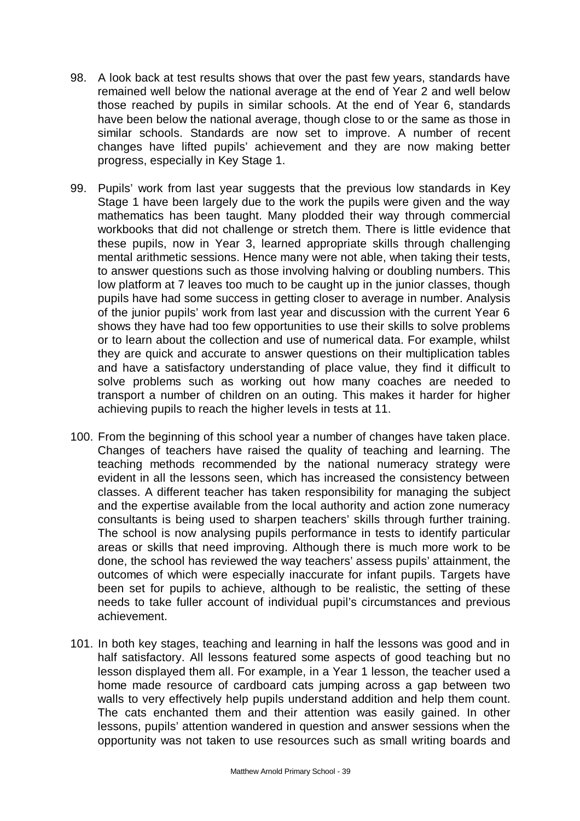- 98. A look back at test results shows that over the past few years, standards have remained well below the national average at the end of Year 2 and well below those reached by pupils in similar schools. At the end of Year 6, standards have been below the national average, though close to or the same as those in similar schools. Standards are now set to improve. A number of recent changes have lifted pupils' achievement and they are now making better progress, especially in Key Stage 1.
- 99. Pupils' work from last year suggests that the previous low standards in Key Stage 1 have been largely due to the work the pupils were given and the way mathematics has been taught. Many plodded their way through commercial workbooks that did not challenge or stretch them. There is little evidence that these pupils, now in Year 3, learned appropriate skills through challenging mental arithmetic sessions. Hence many were not able, when taking their tests, to answer questions such as those involving halving or doubling numbers. This low platform at 7 leaves too much to be caught up in the junior classes, though pupils have had some success in getting closer to average in number. Analysis of the junior pupils' work from last year and discussion with the current Year 6 shows they have had too few opportunities to use their skills to solve problems or to learn about the collection and use of numerical data. For example, whilst they are quick and accurate to answer questions on their multiplication tables and have a satisfactory understanding of place value, they find it difficult to solve problems such as working out how many coaches are needed to transport a number of children on an outing. This makes it harder for higher achieving pupils to reach the higher levels in tests at 11.
- 100. From the beginning of this school year a number of changes have taken place. Changes of teachers have raised the quality of teaching and learning. The teaching methods recommended by the national numeracy strategy were evident in all the lessons seen, which has increased the consistency between classes. A different teacher has taken responsibility for managing the subject and the expertise available from the local authority and action zone numeracy consultants is being used to sharpen teachers' skills through further training. The school is now analysing pupils performance in tests to identify particular areas or skills that need improving. Although there is much more work to be done, the school has reviewed the way teachers' assess pupils' attainment, the outcomes of which were especially inaccurate for infant pupils. Targets have been set for pupils to achieve, although to be realistic, the setting of these needs to take fuller account of individual pupil's circumstances and previous achievement.
- 101. In both key stages, teaching and learning in half the lessons was good and in half satisfactory. All lessons featured some aspects of good teaching but no lesson displayed them all. For example, in a Year 1 lesson, the teacher used a home made resource of cardboard cats jumping across a gap between two walls to very effectively help pupils understand addition and help them count. The cats enchanted them and their attention was easily gained. In other lessons, pupils' attention wandered in question and answer sessions when the opportunity was not taken to use resources such as small writing boards and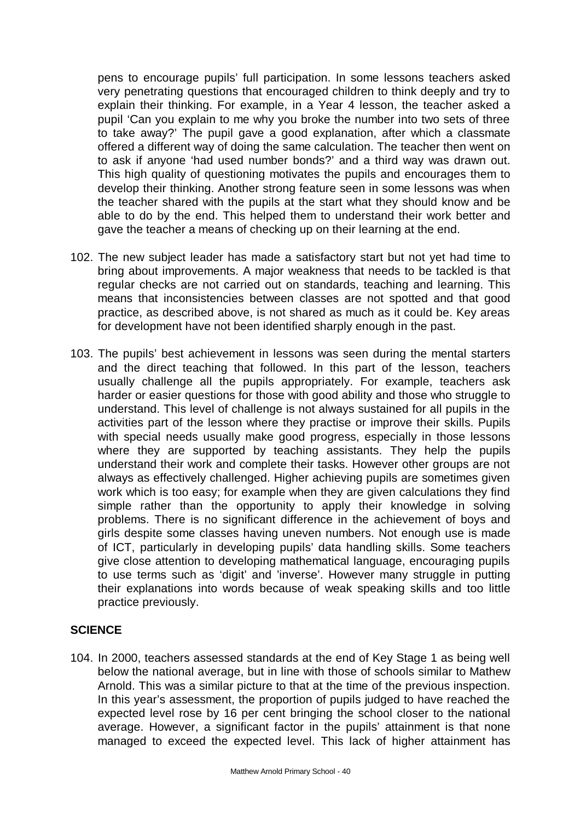pens to encourage pupils' full participation. In some lessons teachers asked very penetrating questions that encouraged children to think deeply and try to explain their thinking. For example, in a Year 4 lesson, the teacher asked a pupil 'Can you explain to me why you broke the number into two sets of three to take away?' The pupil gave a good explanation, after which a classmate offered a different way of doing the same calculation. The teacher then went on to ask if anyone 'had used number bonds?' and a third way was drawn out. This high quality of questioning motivates the pupils and encourages them to develop their thinking. Another strong feature seen in some lessons was when the teacher shared with the pupils at the start what they should know and be able to do by the end. This helped them to understand their work better and gave the teacher a means of checking up on their learning at the end.

- 102. The new subject leader has made a satisfactory start but not yet had time to bring about improvements. A major weakness that needs to be tackled is that regular checks are not carried out on standards, teaching and learning. This means that inconsistencies between classes are not spotted and that good practice, as described above, is not shared as much as it could be. Key areas for development have not been identified sharply enough in the past.
- 103. The pupils' best achievement in lessons was seen during the mental starters and the direct teaching that followed. In this part of the lesson, teachers usually challenge all the pupils appropriately. For example, teachers ask harder or easier questions for those with good ability and those who struggle to understand. This level of challenge is not always sustained for all pupils in the activities part of the lesson where they practise or improve their skills. Pupils with special needs usually make good progress, especially in those lessons where they are supported by teaching assistants. They help the pupils understand their work and complete their tasks. However other groups are not always as effectively challenged. Higher achieving pupils are sometimes given work which is too easy; for example when they are given calculations they find simple rather than the opportunity to apply their knowledge in solving problems. There is no significant difference in the achievement of boys and girls despite some classes having uneven numbers. Not enough use is made of ICT, particularly in developing pupils' data handling skills. Some teachers give close attention to developing mathematical language, encouraging pupils to use terms such as 'digit' and 'inverse'. However many struggle in putting their explanations into words because of weak speaking skills and too little practice previously.

# **SCIENCE**

104. In 2000, teachers assessed standards at the end of Key Stage 1 as being well below the national average, but in line with those of schools similar to Mathew Arnold. This was a similar picture to that at the time of the previous inspection. In this year's assessment, the proportion of pupils judged to have reached the expected level rose by 16 per cent bringing the school closer to the national average. However, a significant factor in the pupils' attainment is that none managed to exceed the expected level. This lack of higher attainment has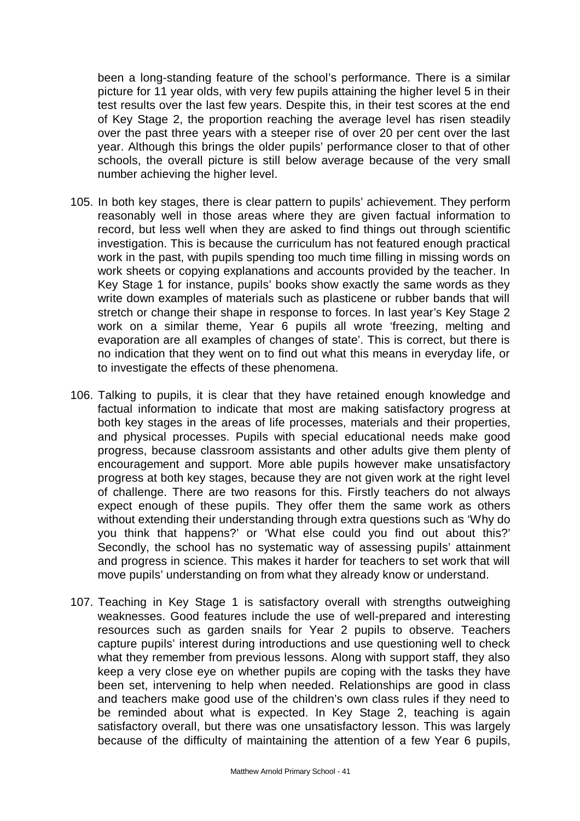been a long-standing feature of the school's performance. There is a similar picture for 11 year olds, with very few pupils attaining the higher level 5 in their test results over the last few years. Despite this, in their test scores at the end of Key Stage 2, the proportion reaching the average level has risen steadily over the past three years with a steeper rise of over 20 per cent over the last year. Although this brings the older pupils' performance closer to that of other schools, the overall picture is still below average because of the very small number achieving the higher level.

- 105. In both key stages, there is clear pattern to pupils' achievement. They perform reasonably well in those areas where they are given factual information to record, but less well when they are asked to find things out through scientific investigation. This is because the curriculum has not featured enough practical work in the past, with pupils spending too much time filling in missing words on work sheets or copying explanations and accounts provided by the teacher. In Key Stage 1 for instance, pupils' books show exactly the same words as they write down examples of materials such as plasticene or rubber bands that will stretch or change their shape in response to forces. In last year's Key Stage 2 work on a similar theme, Year 6 pupils all wrote 'freezing, melting and evaporation are all examples of changes of state'. This is correct, but there is no indication that they went on to find out what this means in everyday life, or to investigate the effects of these phenomena.
- 106. Talking to pupils, it is clear that they have retained enough knowledge and factual information to indicate that most are making satisfactory progress at both key stages in the areas of life processes, materials and their properties, and physical processes. Pupils with special educational needs make good progress, because classroom assistants and other adults give them plenty of encouragement and support. More able pupils however make unsatisfactory progress at both key stages, because they are not given work at the right level of challenge. There are two reasons for this. Firstly teachers do not always expect enough of these pupils. They offer them the same work as others without extending their understanding through extra questions such as 'Why do you think that happens?' or 'What else could you find out about this?' Secondly, the school has no systematic way of assessing pupils' attainment and progress in science. This makes it harder for teachers to set work that will move pupils' understanding on from what they already know or understand.
- 107. Teaching in Key Stage 1 is satisfactory overall with strengths outweighing weaknesses. Good features include the use of well-prepared and interesting resources such as garden snails for Year 2 pupils to observe. Teachers capture pupils' interest during introductions and use questioning well to check what they remember from previous lessons. Along with support staff, they also keep a very close eye on whether pupils are coping with the tasks they have been set, intervening to help when needed. Relationships are good in class and teachers make good use of the children's own class rules if they need to be reminded about what is expected. In Key Stage 2, teaching is again satisfactory overall, but there was one unsatisfactory lesson. This was largely because of the difficulty of maintaining the attention of a few Year 6 pupils,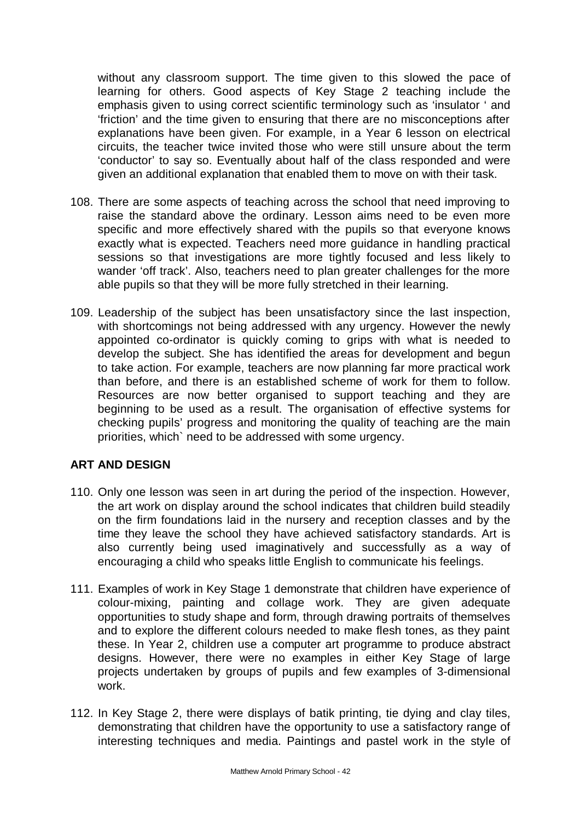without any classroom support. The time given to this slowed the pace of learning for others. Good aspects of Key Stage 2 teaching include the emphasis given to using correct scientific terminology such as 'insulator ' and 'friction' and the time given to ensuring that there are no misconceptions after explanations have been given. For example, in a Year 6 lesson on electrical circuits, the teacher twice invited those who were still unsure about the term 'conductor' to say so. Eventually about half of the class responded and were given an additional explanation that enabled them to move on with their task.

- 108. There are some aspects of teaching across the school that need improving to raise the standard above the ordinary. Lesson aims need to be even more specific and more effectively shared with the pupils so that everyone knows exactly what is expected. Teachers need more guidance in handling practical sessions so that investigations are more tightly focused and less likely to wander 'off track'. Also, teachers need to plan greater challenges for the more able pupils so that they will be more fully stretched in their learning.
- 109. Leadership of the subject has been unsatisfactory since the last inspection, with shortcomings not being addressed with any urgency. However the newly appointed co-ordinator is quickly coming to grips with what is needed to develop the subject. She has identified the areas for development and begun to take action. For example, teachers are now planning far more practical work than before, and there is an established scheme of work for them to follow. Resources are now better organised to support teaching and they are beginning to be used as a result. The organisation of effective systems for checking pupils' progress and monitoring the quality of teaching are the main priorities, which` need to be addressed with some urgency.

# **ART AND DESIGN**

- 110. Only one lesson was seen in art during the period of the inspection. However, the art work on display around the school indicates that children build steadily on the firm foundations laid in the nursery and reception classes and by the time they leave the school they have achieved satisfactory standards. Art is also currently being used imaginatively and successfully as a way of encouraging a child who speaks little English to communicate his feelings.
- 111. Examples of work in Key Stage 1 demonstrate that children have experience of colour-mixing, painting and collage work. They are given adequate opportunities to study shape and form, through drawing portraits of themselves and to explore the different colours needed to make flesh tones, as they paint these. In Year 2, children use a computer art programme to produce abstract designs. However, there were no examples in either Key Stage of large projects undertaken by groups of pupils and few examples of 3-dimensional work.
- 112. In Key Stage 2, there were displays of batik printing, tie dying and clay tiles, demonstrating that children have the opportunity to use a satisfactory range of interesting techniques and media. Paintings and pastel work in the style of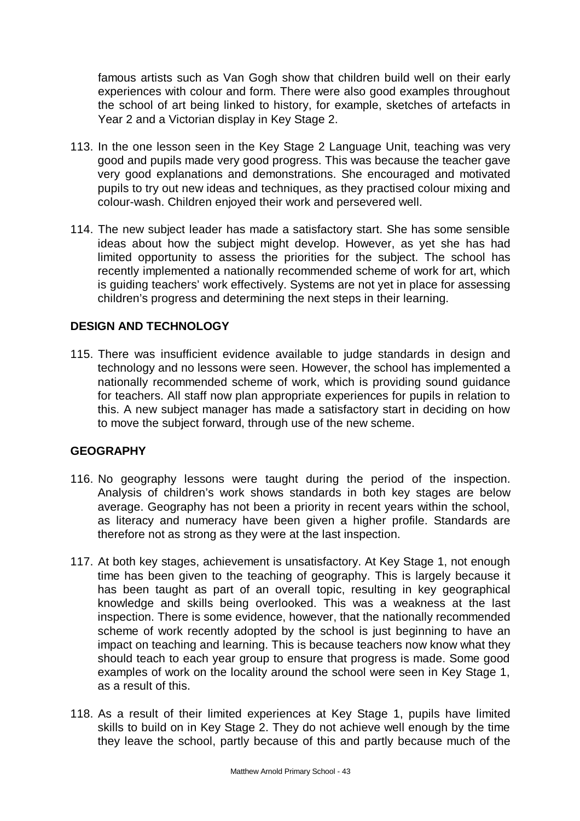famous artists such as Van Gogh show that children build well on their early experiences with colour and form. There were also good examples throughout the school of art being linked to history, for example, sketches of artefacts in Year 2 and a Victorian display in Key Stage 2.

- 113. In the one lesson seen in the Key Stage 2 Language Unit, teaching was very good and pupils made very good progress. This was because the teacher gave very good explanations and demonstrations. She encouraged and motivated pupils to try out new ideas and techniques, as they practised colour mixing and colour-wash. Children enjoyed their work and persevered well.
- 114. The new subject leader has made a satisfactory start. She has some sensible ideas about how the subject might develop. However, as yet she has had limited opportunity to assess the priorities for the subject. The school has recently implemented a nationally recommended scheme of work for art, which is quiding teachers' work effectively. Systems are not yet in place for assessing children's progress and determining the next steps in their learning.

# **DESIGN AND TECHNOLOGY**

115. There was insufficient evidence available to judge standards in design and technology and no lessons were seen. However, the school has implemented a nationally recommended scheme of work, which is providing sound guidance for teachers. All staff now plan appropriate experiences for pupils in relation to this. A new subject manager has made a satisfactory start in deciding on how to move the subject forward, through use of the new scheme.

# **GEOGRAPHY**

- 116. No geography lessons were taught during the period of the inspection. Analysis of children's work shows standards in both key stages are below average. Geography has not been a priority in recent years within the school, as literacy and numeracy have been given a higher profile. Standards are therefore not as strong as they were at the last inspection.
- 117. At both key stages, achievement is unsatisfactory. At Key Stage 1, not enough time has been given to the teaching of geography. This is largely because it has been taught as part of an overall topic, resulting in key geographical knowledge and skills being overlooked. This was a weakness at the last inspection. There is some evidence, however, that the nationally recommended scheme of work recently adopted by the school is just beginning to have an impact on teaching and learning. This is because teachers now know what they should teach to each year group to ensure that progress is made. Some good examples of work on the locality around the school were seen in Key Stage 1, as a result of this.
- 118. As a result of their limited experiences at Key Stage 1, pupils have limited skills to build on in Key Stage 2. They do not achieve well enough by the time they leave the school, partly because of this and partly because much of the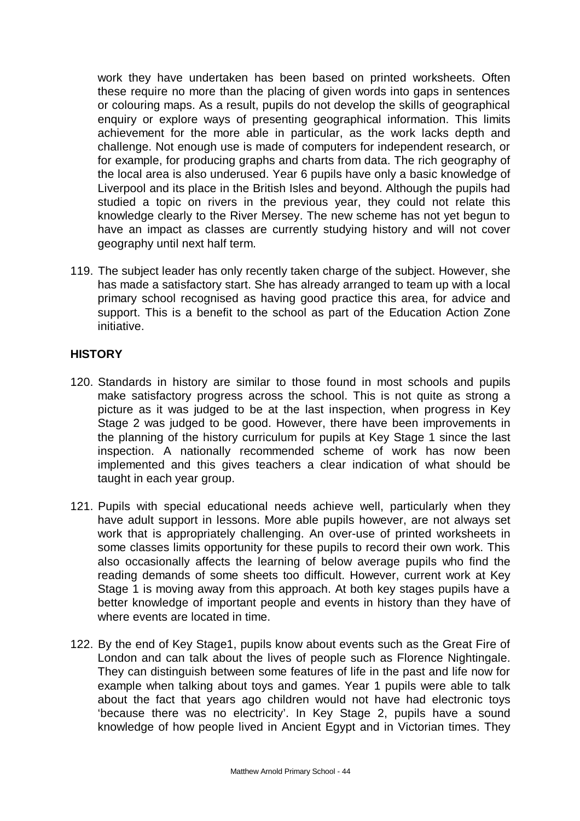work they have undertaken has been based on printed worksheets. Often these require no more than the placing of given words into gaps in sentences or colouring maps. As a result, pupils do not develop the skills of geographical enquiry or explore ways of presenting geographical information. This limits achievement for the more able in particular, as the work lacks depth and challenge. Not enough use is made of computers for independent research, or for example, for producing graphs and charts from data. The rich geography of the local area is also underused. Year 6 pupils have only a basic knowledge of Liverpool and its place in the British Isles and beyond. Although the pupils had studied a topic on rivers in the previous year, they could not relate this knowledge clearly to the River Mersey. The new scheme has not yet begun to have an impact as classes are currently studying history and will not cover geography until next half term.

119. The subject leader has only recently taken charge of the subject. However, she has made a satisfactory start. She has already arranged to team up with a local primary school recognised as having good practice this area, for advice and support. This is a benefit to the school as part of the Education Action Zone initiative.

# **HISTORY**

- 120. Standards in history are similar to those found in most schools and pupils make satisfactory progress across the school. This is not quite as strong a picture as it was judged to be at the last inspection, when progress in Key Stage 2 was judged to be good. However, there have been improvements in the planning of the history curriculum for pupils at Key Stage 1 since the last inspection. A nationally recommended scheme of work has now been implemented and this gives teachers a clear indication of what should be taught in each year group.
- 121. Pupils with special educational needs achieve well, particularly when they have adult support in lessons. More able pupils however, are not always set work that is appropriately challenging. An over-use of printed worksheets in some classes limits opportunity for these pupils to record their own work. This also occasionally affects the learning of below average pupils who find the reading demands of some sheets too difficult. However, current work at Key Stage 1 is moving away from this approach. At both key stages pupils have a better knowledge of important people and events in history than they have of where events are located in time.
- 122. By the end of Key Stage1, pupils know about events such as the Great Fire of London and can talk about the lives of people such as Florence Nightingale. They can distinguish between some features of life in the past and life now for example when talking about toys and games. Year 1 pupils were able to talk about the fact that years ago children would not have had electronic toys 'because there was no electricity'. In Key Stage 2, pupils have a sound knowledge of how people lived in Ancient Egypt and in Victorian times. They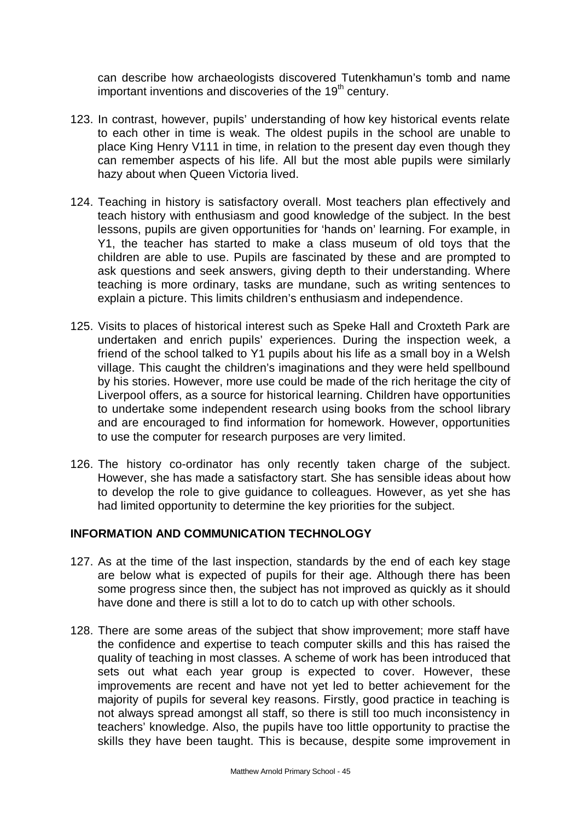can describe how archaeologists discovered Tutenkhamun's tomb and name important inventions and discoveries of the  $19<sup>th</sup>$  century.

- 123. In contrast, however, pupils' understanding of how key historical events relate to each other in time is weak. The oldest pupils in the school are unable to place King Henry V111 in time, in relation to the present day even though they can remember aspects of his life. All but the most able pupils were similarly hazy about when Queen Victoria lived.
- 124. Teaching in history is satisfactory overall. Most teachers plan effectively and teach history with enthusiasm and good knowledge of the subject. In the best lessons, pupils are given opportunities for 'hands on' learning. For example, in Y1, the teacher has started to make a class museum of old toys that the children are able to use. Pupils are fascinated by these and are prompted to ask questions and seek answers, giving depth to their understanding. Where teaching is more ordinary, tasks are mundane, such as writing sentences to explain a picture. This limits children's enthusiasm and independence.
- 125. Visits to places of historical interest such as Speke Hall and Croxteth Park are undertaken and enrich pupils' experiences. During the inspection week, a friend of the school talked to Y1 pupils about his life as a small boy in a Welsh village. This caught the children's imaginations and they were held spellbound by his stories. However, more use could be made of the rich heritage the city of Liverpool offers, as a source for historical learning. Children have opportunities to undertake some independent research using books from the school library and are encouraged to find information for homework. However, opportunities to use the computer for research purposes are very limited.
- 126. The history co-ordinator has only recently taken charge of the subject. However, she has made a satisfactory start. She has sensible ideas about how to develop the role to give guidance to colleagues. However, as yet she has had limited opportunity to determine the key priorities for the subject.

# **INFORMATION AND COMMUNICATION TECHNOLOGY**

- 127. As at the time of the last inspection, standards by the end of each key stage are below what is expected of pupils for their age. Although there has been some progress since then, the subject has not improved as quickly as it should have done and there is still a lot to do to catch up with other schools.
- 128. There are some areas of the subject that show improvement; more staff have the confidence and expertise to teach computer skills and this has raised the quality of teaching in most classes. A scheme of work has been introduced that sets out what each year group is expected to cover. However, these improvements are recent and have not yet led to better achievement for the majority of pupils for several key reasons. Firstly, good practice in teaching is not always spread amongst all staff, so there is still too much inconsistency in teachers' knowledge. Also, the pupils have too little opportunity to practise the skills they have been taught. This is because, despite some improvement in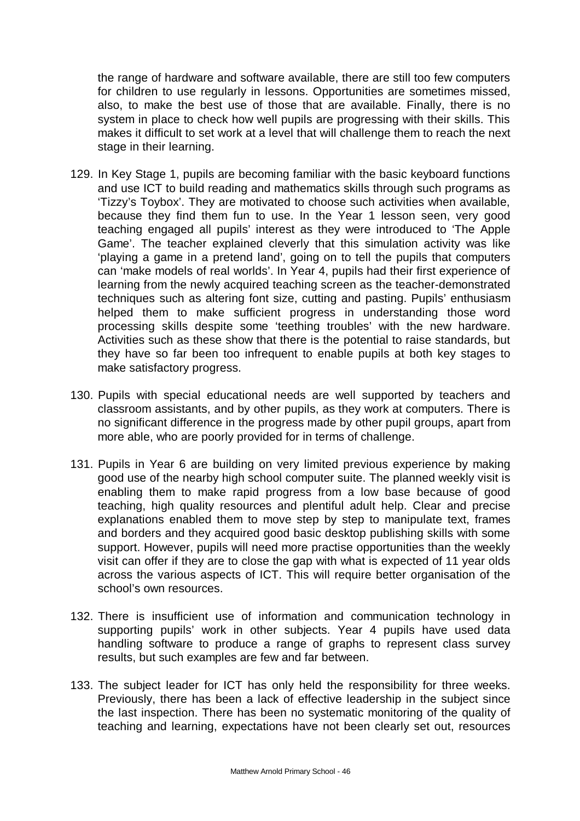the range of hardware and software available, there are still too few computers for children to use regularly in lessons. Opportunities are sometimes missed, also, to make the best use of those that are available. Finally, there is no system in place to check how well pupils are progressing with their skills. This makes it difficult to set work at a level that will challenge them to reach the next stage in their learning.

- 129. In Key Stage 1, pupils are becoming familiar with the basic keyboard functions and use ICT to build reading and mathematics skills through such programs as 'Tizzy's Toybox'. They are motivated to choose such activities when available, because they find them fun to use. In the Year 1 lesson seen, very good teaching engaged all pupils' interest as they were introduced to 'The Apple Game'. The teacher explained cleverly that this simulation activity was like 'playing a game in a pretend land', going on to tell the pupils that computers can 'make models of real worlds'. In Year 4, pupils had their first experience of learning from the newly acquired teaching screen as the teacher-demonstrated techniques such as altering font size, cutting and pasting. Pupils' enthusiasm helped them to make sufficient progress in understanding those word processing skills despite some 'teething troubles' with the new hardware. Activities such as these show that there is the potential to raise standards, but they have so far been too infrequent to enable pupils at both key stages to make satisfactory progress.
- 130. Pupils with special educational needs are well supported by teachers and classroom assistants, and by other pupils, as they work at computers. There is no significant difference in the progress made by other pupil groups, apart from more able, who are poorly provided for in terms of challenge.
- 131. Pupils in Year 6 are building on very limited previous experience by making good use of the nearby high school computer suite. The planned weekly visit is enabling them to make rapid progress from a low base because of good teaching, high quality resources and plentiful adult help. Clear and precise explanations enabled them to move step by step to manipulate text, frames and borders and they acquired good basic desktop publishing skills with some support. However, pupils will need more practise opportunities than the weekly visit can offer if they are to close the gap with what is expected of 11 year olds across the various aspects of ICT. This will require better organisation of the school's own resources.
- 132. There is insufficient use of information and communication technology in supporting pupils' work in other subjects. Year 4 pupils have used data handling software to produce a range of graphs to represent class survey results, but such examples are few and far between.
- 133. The subject leader for ICT has only held the responsibility for three weeks. Previously, there has been a lack of effective leadership in the subject since the last inspection. There has been no systematic monitoring of the quality of teaching and learning, expectations have not been clearly set out, resources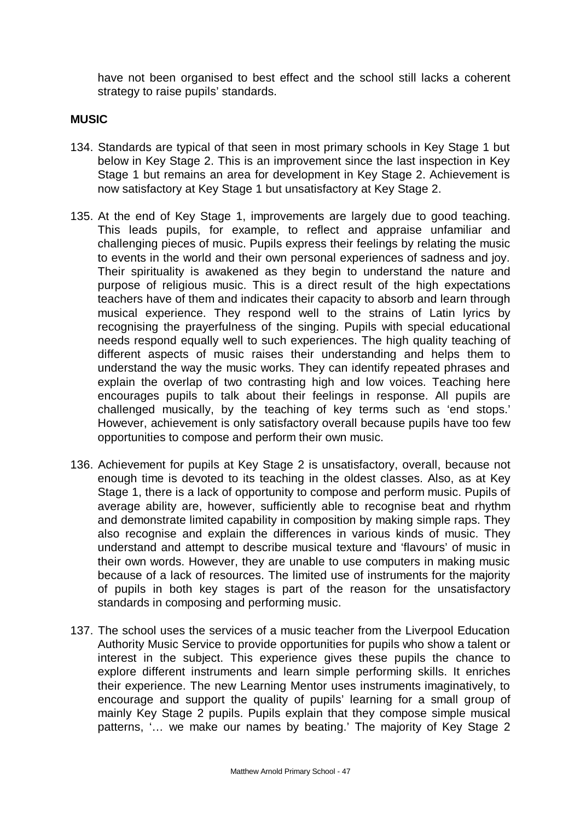have not been organised to best effect and the school still lacks a coherent strategy to raise pupils' standards.

# **MUSIC**

- 134. Standards are typical of that seen in most primary schools in Key Stage 1 but below in Key Stage 2. This is an improvement since the last inspection in Key Stage 1 but remains an area for development in Key Stage 2. Achievement is now satisfactory at Key Stage 1 but unsatisfactory at Key Stage 2.
- 135. At the end of Key Stage 1, improvements are largely due to good teaching. This leads pupils, for example, to reflect and appraise unfamiliar and challenging pieces of music. Pupils express their feelings by relating the music to events in the world and their own personal experiences of sadness and joy. Their spirituality is awakened as they begin to understand the nature and purpose of religious music. This is a direct result of the high expectations teachers have of them and indicates their capacity to absorb and learn through musical experience. They respond well to the strains of Latin lyrics by recognising the prayerfulness of the singing. Pupils with special educational needs respond equally well to such experiences. The high quality teaching of different aspects of music raises their understanding and helps them to understand the way the music works. They can identify repeated phrases and explain the overlap of two contrasting high and low voices. Teaching here encourages pupils to talk about their feelings in response. All pupils are challenged musically, by the teaching of key terms such as 'end stops.' However, achievement is only satisfactory overall because pupils have too few opportunities to compose and perform their own music.
- 136. Achievement for pupils at Key Stage 2 is unsatisfactory, overall, because not enough time is devoted to its teaching in the oldest classes. Also, as at Key Stage 1, there is a lack of opportunity to compose and perform music. Pupils of average ability are, however, sufficiently able to recognise beat and rhythm and demonstrate limited capability in composition by making simple raps. They also recognise and explain the differences in various kinds of music. They understand and attempt to describe musical texture and 'flavours' of music in their own words. However, they are unable to use computers in making music because of a lack of resources. The limited use of instruments for the majority of pupils in both key stages is part of the reason for the unsatisfactory standards in composing and performing music.
- 137. The school uses the services of a music teacher from the Liverpool Education Authority Music Service to provide opportunities for pupils who show a talent or interest in the subject. This experience gives these pupils the chance to explore different instruments and learn simple performing skills. It enriches their experience. The new Learning Mentor uses instruments imaginatively, to encourage and support the quality of pupils' learning for a small group of mainly Key Stage 2 pupils. Pupils explain that they compose simple musical patterns, '… we make our names by beating.' The majority of Key Stage 2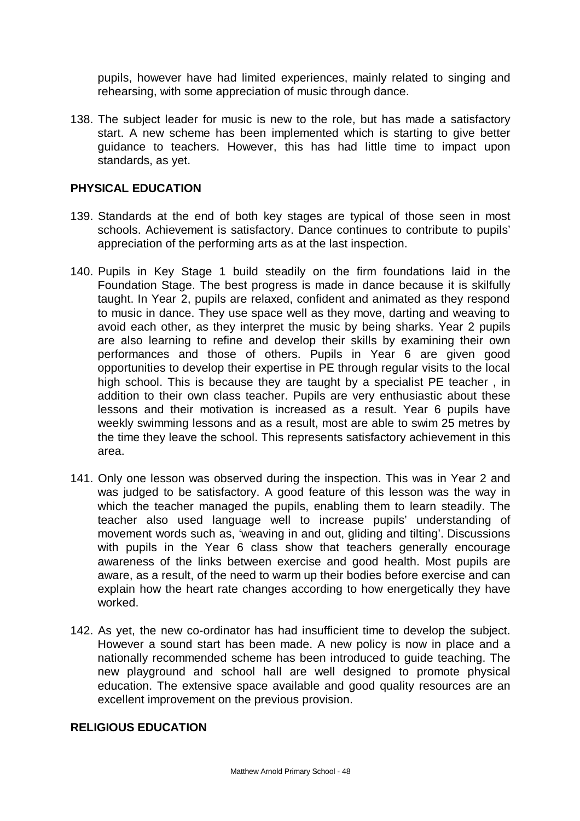pupils, however have had limited experiences, mainly related to singing and rehearsing, with some appreciation of music through dance.

138. The subject leader for music is new to the role, but has made a satisfactory start. A new scheme has been implemented which is starting to give better guidance to teachers. However, this has had little time to impact upon standards, as yet.

# **PHYSICAL EDUCATION**

- 139. Standards at the end of both key stages are typical of those seen in most schools. Achievement is satisfactory. Dance continues to contribute to pupils' appreciation of the performing arts as at the last inspection.
- 140. Pupils in Key Stage 1 build steadily on the firm foundations laid in the Foundation Stage. The best progress is made in dance because it is skilfully taught. In Year 2, pupils are relaxed, confident and animated as they respond to music in dance. They use space well as they move, darting and weaving to avoid each other, as they interpret the music by being sharks. Year 2 pupils are also learning to refine and develop their skills by examining their own performances and those of others. Pupils in Year 6 are given good opportunities to develop their expertise in PE through regular visits to the local high school. This is because they are taught by a specialist PE teacher , in addition to their own class teacher. Pupils are very enthusiastic about these lessons and their motivation is increased as a result. Year 6 pupils have weekly swimming lessons and as a result, most are able to swim 25 metres by the time they leave the school. This represents satisfactory achievement in this area.
- 141. Only one lesson was observed during the inspection. This was in Year 2 and was judged to be satisfactory. A good feature of this lesson was the way in which the teacher managed the pupils, enabling them to learn steadily. The teacher also used language well to increase pupils' understanding of movement words such as, 'weaving in and out, gliding and tilting'. Discussions with pupils in the Year 6 class show that teachers generally encourage awareness of the links between exercise and good health. Most pupils are aware, as a result, of the need to warm up their bodies before exercise and can explain how the heart rate changes according to how energetically they have worked.
- 142. As yet, the new co-ordinator has had insufficient time to develop the subject. However a sound start has been made. A new policy is now in place and a nationally recommended scheme has been introduced to guide teaching. The new playground and school hall are well designed to promote physical education. The extensive space available and good quality resources are an excellent improvement on the previous provision.

#### **RELIGIOUS EDUCATION**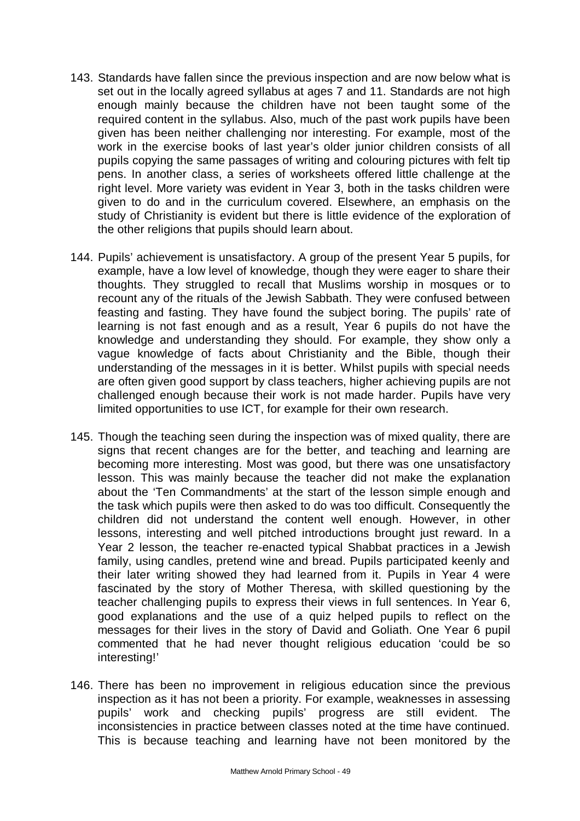- 143. Standards have fallen since the previous inspection and are now below what is set out in the locally agreed syllabus at ages 7 and 11. Standards are not high enough mainly because the children have not been taught some of the required content in the syllabus. Also, much of the past work pupils have been given has been neither challenging nor interesting. For example, most of the work in the exercise books of last year's older junior children consists of all pupils copying the same passages of writing and colouring pictures with felt tip pens. In another class, a series of worksheets offered little challenge at the right level. More variety was evident in Year 3, both in the tasks children were given to do and in the curriculum covered. Elsewhere, an emphasis on the study of Christianity is evident but there is little evidence of the exploration of the other religions that pupils should learn about.
- 144. Pupils' achievement is unsatisfactory. A group of the present Year 5 pupils, for example, have a low level of knowledge, though they were eager to share their thoughts. They struggled to recall that Muslims worship in mosques or to recount any of the rituals of the Jewish Sabbath. They were confused between feasting and fasting. They have found the subject boring. The pupils' rate of learning is not fast enough and as a result, Year 6 pupils do not have the knowledge and understanding they should. For example, they show only a vague knowledge of facts about Christianity and the Bible, though their understanding of the messages in it is better. Whilst pupils with special needs are often given good support by class teachers, higher achieving pupils are not challenged enough because their work is not made harder. Pupils have very limited opportunities to use ICT, for example for their own research.
- 145. Though the teaching seen during the inspection was of mixed quality, there are signs that recent changes are for the better, and teaching and learning are becoming more interesting. Most was good, but there was one unsatisfactory lesson. This was mainly because the teacher did not make the explanation about the 'Ten Commandments' at the start of the lesson simple enough and the task which pupils were then asked to do was too difficult. Consequently the children did not understand the content well enough. However, in other lessons, interesting and well pitched introductions brought just reward. In a Year 2 lesson, the teacher re-enacted typical Shabbat practices in a Jewish family, using candles, pretend wine and bread. Pupils participated keenly and their later writing showed they had learned from it. Pupils in Year 4 were fascinated by the story of Mother Theresa, with skilled questioning by the teacher challenging pupils to express their views in full sentences. In Year 6, good explanations and the use of a quiz helped pupils to reflect on the messages for their lives in the story of David and Goliath. One Year 6 pupil commented that he had never thought religious education 'could be so interesting!'
- 146. There has been no improvement in religious education since the previous inspection as it has not been a priority. For example, weaknesses in assessing pupils' work and checking pupils' progress are still evident. The inconsistencies in practice between classes noted at the time have continued. This is because teaching and learning have not been monitored by the